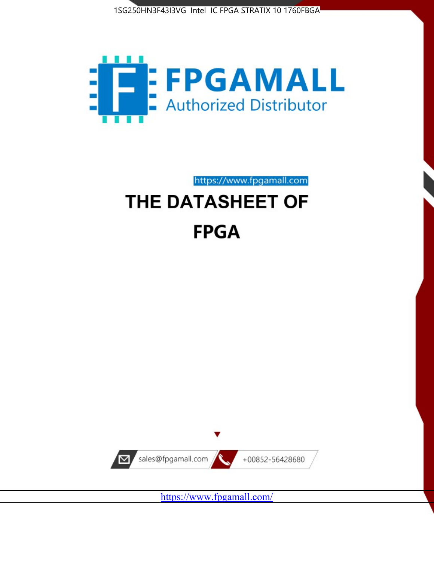



https://www.fpgamall.com

# THE DATASHEET OF **FPGA**



<https://www.fpgamall.com/>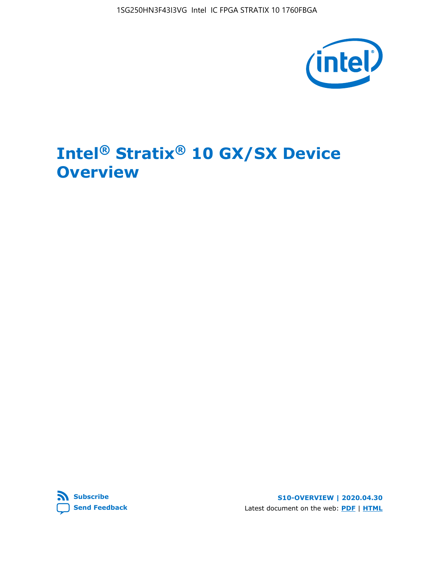1SG250HN3F43I3VG Intel IC FPGA STRATIX 10 1760FBGA



# **Intel® Stratix® 10 GX/SX Device Overview**



**S10-OVERVIEW | 2020.04.30** Latest document on the web: **[PDF](https://www.intel.com/content/dam/www/programmable/us/en/pdfs/literature/hb/stratix-10/s10-overview.pdf)** | **[HTML](https://www.intel.com/content/www/us/en/programmable/documentation/joc1442261161666.html)**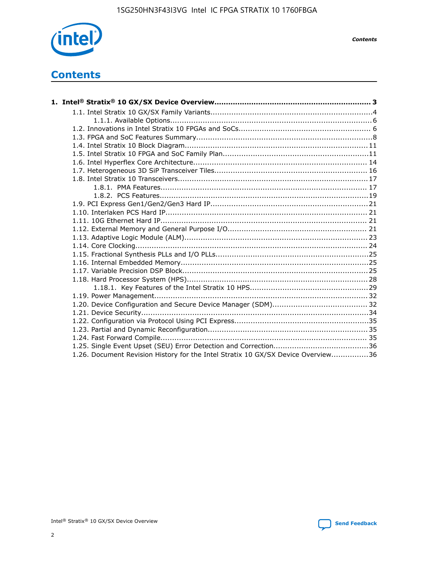

*Contents*

# **Contents**

| 1.26. Document Revision History for the Intel Stratix 10 GX/SX Device Overview36 |  |
|----------------------------------------------------------------------------------|--|

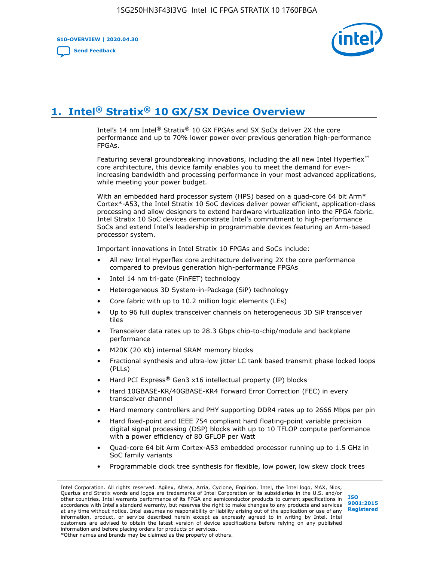**S10-OVERVIEW | 2020.04.30**

**[Send Feedback](mailto:FPGAtechdocfeedback@intel.com?subject=Feedback%20on%20Intel%20Stratix%2010%20GX/SX%20Device%20Overview%20(S10-OVERVIEW%202020.04.30)&body=We%20appreciate%20your%20feedback.%20In%20your%20comments,%20also%20specify%20the%20page%20number%20or%20paragraph.%20Thank%20you.)**



# **1. Intel® Stratix® 10 GX/SX Device Overview**

Intel's 14 nm Intel® Stratix® 10 GX FPGAs and SX SoCs deliver 2X the core performance and up to 70% lower power over previous generation high-performance FPGAs.

Featuring several groundbreaking innovations, including the all new Intel Hyperflex™ core architecture, this device family enables you to meet the demand for everincreasing bandwidth and processing performance in your most advanced applications, while meeting your power budget.

With an embedded hard processor system (HPS) based on a quad-core 64 bit Arm\* Cortex\*-A53, the Intel Stratix 10 SoC devices deliver power efficient, application-class processing and allow designers to extend hardware virtualization into the FPGA fabric. Intel Stratix 10 SoC devices demonstrate Intel's commitment to high-performance SoCs and extend Intel's leadership in programmable devices featuring an Arm-based processor system.

Important innovations in Intel Stratix 10 FPGAs and SoCs include:

- All new Intel Hyperflex core architecture delivering 2X the core performance compared to previous generation high-performance FPGAs
- Intel 14 nm tri-gate (FinFET) technology
- Heterogeneous 3D System-in-Package (SiP) technology
- Core fabric with up to 10.2 million logic elements (LEs)
- Up to 96 full duplex transceiver channels on heterogeneous 3D SiP transceiver tiles
- Transceiver data rates up to 28.3 Gbps chip-to-chip/module and backplane performance
- M20K (20 Kb) internal SRAM memory blocks
- Fractional synthesis and ultra-low jitter LC tank based transmit phase locked loops (PLLs)
- Hard PCI Express<sup>®</sup> Gen3 x16 intellectual property (IP) blocks
- Hard 10GBASE-KR/40GBASE-KR4 Forward Error Correction (FEC) in every transceiver channel
- Hard memory controllers and PHY supporting DDR4 rates up to 2666 Mbps per pin
- Hard fixed-point and IEEE 754 compliant hard floating-point variable precision digital signal processing (DSP) blocks with up to 10 TFLOP compute performance with a power efficiency of 80 GFLOP per Watt
- Quad-core 64 bit Arm Cortex-A53 embedded processor running up to 1.5 GHz in SoC family variants
- Programmable clock tree synthesis for flexible, low power, low skew clock trees

Intel Corporation. All rights reserved. Agilex, Altera, Arria, Cyclone, Enpirion, Intel, the Intel logo, MAX, Nios, Quartus and Stratix words and logos are trademarks of Intel Corporation or its subsidiaries in the U.S. and/or other countries. Intel warrants performance of its FPGA and semiconductor products to current specifications in accordance with Intel's standard warranty, but reserves the right to make changes to any products and services at any time without notice. Intel assumes no responsibility or liability arising out of the application or use of any information, product, or service described herein except as expressly agreed to in writing by Intel. Intel customers are advised to obtain the latest version of device specifications before relying on any published information and before placing orders for products or services. \*Other names and brands may be claimed as the property of others.

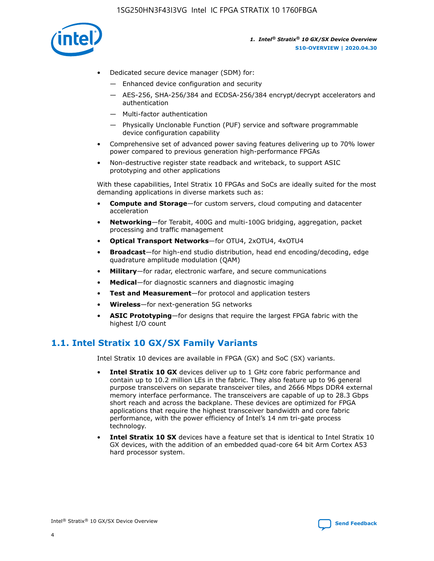

- Dedicated secure device manager (SDM) for:
	- Enhanced device configuration and security
	- AES-256, SHA-256/384 and ECDSA-256/384 encrypt/decrypt accelerators and authentication
	- Multi-factor authentication
	- Physically Unclonable Function (PUF) service and software programmable device configuration capability
- Comprehensive set of advanced power saving features delivering up to 70% lower power compared to previous generation high-performance FPGAs
- Non-destructive register state readback and writeback, to support ASIC prototyping and other applications

With these capabilities, Intel Stratix 10 FPGAs and SoCs are ideally suited for the most demanding applications in diverse markets such as:

- **Compute and Storage**—for custom servers, cloud computing and datacenter acceleration
- **Networking**—for Terabit, 400G and multi-100G bridging, aggregation, packet processing and traffic management
- **Optical Transport Networks**—for OTU4, 2xOTU4, 4xOTU4
- **Broadcast**—for high-end studio distribution, head end encoding/decoding, edge quadrature amplitude modulation (QAM)
- **Military**—for radar, electronic warfare, and secure communications
- **Medical**—for diagnostic scanners and diagnostic imaging
- **Test and Measurement**—for protocol and application testers
- **Wireless**—for next-generation 5G networks
- **ASIC Prototyping**—for designs that require the largest FPGA fabric with the highest I/O count

### **1.1. Intel Stratix 10 GX/SX Family Variants**

Intel Stratix 10 devices are available in FPGA (GX) and SoC (SX) variants.

- **Intel Stratix 10 GX** devices deliver up to 1 GHz core fabric performance and contain up to 10.2 million LEs in the fabric. They also feature up to 96 general purpose transceivers on separate transceiver tiles, and 2666 Mbps DDR4 external memory interface performance. The transceivers are capable of up to 28.3 Gbps short reach and across the backplane. These devices are optimized for FPGA applications that require the highest transceiver bandwidth and core fabric performance, with the power efficiency of Intel's 14 nm tri-gate process technology.
- **Intel Stratix 10 SX** devices have a feature set that is identical to Intel Stratix 10 GX devices, with the addition of an embedded quad-core 64 bit Arm Cortex A53 hard processor system.

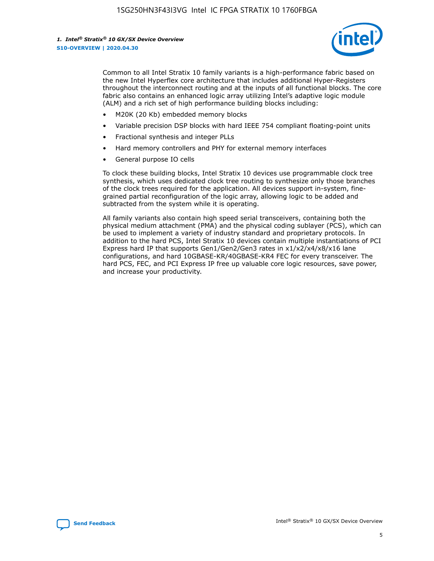

Common to all Intel Stratix 10 family variants is a high-performance fabric based on the new Intel Hyperflex core architecture that includes additional Hyper-Registers throughout the interconnect routing and at the inputs of all functional blocks. The core fabric also contains an enhanced logic array utilizing Intel's adaptive logic module (ALM) and a rich set of high performance building blocks including:

- M20K (20 Kb) embedded memory blocks
- Variable precision DSP blocks with hard IEEE 754 compliant floating-point units
- Fractional synthesis and integer PLLs
- Hard memory controllers and PHY for external memory interfaces
- General purpose IO cells

To clock these building blocks, Intel Stratix 10 devices use programmable clock tree synthesis, which uses dedicated clock tree routing to synthesize only those branches of the clock trees required for the application. All devices support in-system, finegrained partial reconfiguration of the logic array, allowing logic to be added and subtracted from the system while it is operating.

All family variants also contain high speed serial transceivers, containing both the physical medium attachment (PMA) and the physical coding sublayer (PCS), which can be used to implement a variety of industry standard and proprietary protocols. In addition to the hard PCS, Intel Stratix 10 devices contain multiple instantiations of PCI Express hard IP that supports Gen1/Gen2/Gen3 rates in x1/x2/x4/x8/x16 lane configurations, and hard 10GBASE-KR/40GBASE-KR4 FEC for every transceiver. The hard PCS, FEC, and PCI Express IP free up valuable core logic resources, save power, and increase your productivity.

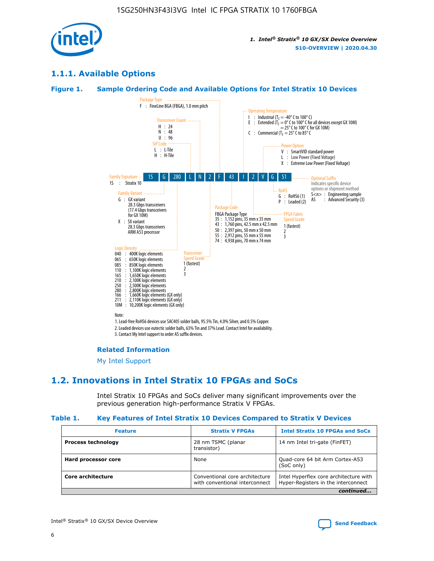

### **1.1.1. Available Options**

#### **Figure 1. Sample Ordering Code and Available Options for Intel Stratix 10 Devices**



### **Related Information**

[My Intel Support](https://www.intel.com/content/www/us/en/programmable/my-intel/mal-home.html)

### **1.2. Innovations in Intel Stratix 10 FPGAs and SoCs**

Intel Stratix 10 FPGAs and SoCs deliver many significant improvements over the previous generation high-performance Stratix V FPGAs.

#### **Table 1. Key Features of Intel Stratix 10 Devices Compared to Stratix V Devices**

| <b>Feature</b>            | <b>Stratix V FPGAs</b>                                           | <b>Intel Stratix 10 FPGAs and SoCs</b>                                        |  |
|---------------------------|------------------------------------------------------------------|-------------------------------------------------------------------------------|--|
| <b>Process technology</b> | 28 nm TSMC (planar<br>transistor)                                | 14 nm Intel tri-gate (FinFET)                                                 |  |
| Hard processor core       | None                                                             | Quad-core 64 bit Arm Cortex-A53<br>(SoC only)                                 |  |
| Core architecture         | Conventional core architecture<br>with conventional interconnect | Intel Hyperflex core architecture with<br>Hyper-Registers in the interconnect |  |
|                           |                                                                  | continued                                                                     |  |

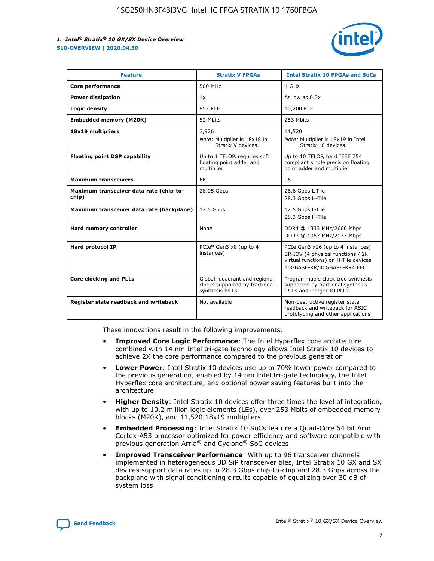

| <b>Feature</b>                                   | <b>Stratix V FPGAs</b>                                                              | <b>Intel Stratix 10 FPGAs and SoCs</b>                                                                                                       |
|--------------------------------------------------|-------------------------------------------------------------------------------------|----------------------------------------------------------------------------------------------------------------------------------------------|
| Core performance                                 | 500 MHz                                                                             | 1 GHz                                                                                                                                        |
| <b>Power dissipation</b>                         | 1x                                                                                  | As low as $0.3x$                                                                                                                             |
| Logic density                                    | 952 KLE                                                                             | 10,200 KLE                                                                                                                                   |
| <b>Embedded memory (M20K)</b>                    | 52 Mbits                                                                            | 253 Mbits                                                                                                                                    |
| 18x19 multipliers                                | 3,926                                                                               | 11,520                                                                                                                                       |
|                                                  | Note: Multiplier is 18x18 in<br>Stratix V devices.                                  | Note: Multiplier is 18x19 in Intel<br>Stratix 10 devices.                                                                                    |
| <b>Floating point DSP capability</b>             | Up to 1 TFLOP, requires soft<br>floating point adder and<br>multiplier              | Up to 10 TFLOP, hard IEEE 754<br>compliant single precision floating<br>point adder and multiplier                                           |
| <b>Maximum transceivers</b>                      | 66                                                                                  | 96                                                                                                                                           |
| Maximum transceiver data rate (chip-to-<br>chip) | 28.05 Gbps                                                                          | 26.6 Gbps L-Tile<br>28.3 Gbps H-Tile                                                                                                         |
| Maximum transceiver data rate (backplane)        | 12.5 Gbps                                                                           | 12.5 Gbps L-Tile<br>28.3 Gbps H-Tile                                                                                                         |
| Hard memory controller                           | None                                                                                | DDR4 @ 1333 MHz/2666 Mbps<br>DDR3 @ 1067 MHz/2133 Mbps                                                                                       |
| <b>Hard protocol IP</b>                          | PCIe* Gen3 x8 (up to 4<br>instances)                                                | PCIe Gen3 x16 (up to 4 instances)<br>SR-IOV (4 physical functions / 2k<br>virtual functions) on H-Tile devices<br>10GBASE-KR/40GBASE-KR4 FEC |
| <b>Core clocking and PLLs</b>                    | Global, quadrant and regional<br>clocks supported by fractional-<br>synthesis fPLLs | Programmable clock tree synthesis<br>supported by fractional synthesis<br>fPLLs and integer IO PLLs                                          |
| Register state readback and writeback            | Not available                                                                       | Non-destructive register state<br>readback and writeback for ASIC<br>prototyping and other applications                                      |

These innovations result in the following improvements:

- **Improved Core Logic Performance**: The Intel Hyperflex core architecture combined with 14 nm Intel tri-gate technology allows Intel Stratix 10 devices to achieve 2X the core performance compared to the previous generation
- **Lower Power**: Intel Stratix 10 devices use up to 70% lower power compared to the previous generation, enabled by 14 nm Intel tri-gate technology, the Intel Hyperflex core architecture, and optional power saving features built into the architecture
- **Higher Density**: Intel Stratix 10 devices offer three times the level of integration, with up to 10.2 million logic elements (LEs), over 253 Mbits of embedded memory blocks (M20K), and 11,520 18x19 multipliers
- **Embedded Processing**: Intel Stratix 10 SoCs feature a Quad-Core 64 bit Arm Cortex-A53 processor optimized for power efficiency and software compatible with previous generation Arria® and Cyclone® SoC devices
- **Improved Transceiver Performance**: With up to 96 transceiver channels implemented in heterogeneous 3D SiP transceiver tiles, Intel Stratix 10 GX and SX devices support data rates up to 28.3 Gbps chip-to-chip and 28.3 Gbps across the backplane with signal conditioning circuits capable of equalizing over 30 dB of system loss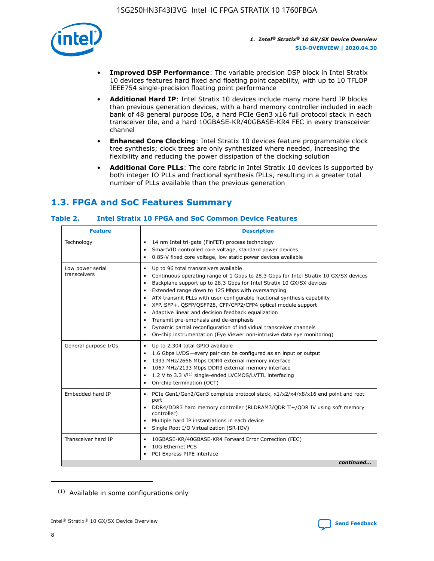

- **Improved DSP Performance**: The variable precision DSP block in Intel Stratix 10 devices features hard fixed and floating point capability, with up to 10 TFLOP IEEE754 single-precision floating point performance
- **Additional Hard IP**: Intel Stratix 10 devices include many more hard IP blocks than previous generation devices, with a hard memory controller included in each bank of 48 general purpose IOs, a hard PCIe Gen3 x16 full protocol stack in each transceiver tile, and a hard 10GBASE-KR/40GBASE-KR4 FEC in every transceiver channel
- **Enhanced Core Clocking**: Intel Stratix 10 devices feature programmable clock tree synthesis; clock trees are only synthesized where needed, increasing the flexibility and reducing the power dissipation of the clocking solution
- **Additional Core PLLs**: The core fabric in Intel Stratix 10 devices is supported by both integer IO PLLs and fractional synthesis fPLLs, resulting in a greater total number of PLLs available than the previous generation

## **1.3. FPGA and SoC Features Summary**

### **Table 2. Intel Stratix 10 FPGA and SoC Common Device Features**

| Technology<br>14 nm Intel tri-gate (FinFET) process technology<br>٠<br>SmartVID controlled core voltage, standard power devices<br>0.85-V fixed core voltage, low static power devices available<br>Up to 96 total transceivers available<br>Low power serial<br>٠<br>transceivers<br>Continuous operating range of 1 Gbps to 28.3 Gbps for Intel Stratix 10 GX/SX devices<br>Backplane support up to 28.3 Gbps for Intel Stratix 10 GX/SX devices<br>$\bullet$<br>Extended range down to 125 Mbps with oversampling<br>$\bullet$<br>• ATX transmit PLLs with user-configurable fractional synthesis capability<br>XFP, SFP+, QSFP/QSFP28, CFP/CFP2/CFP4 optical module support<br>• Adaptive linear and decision feedback equalization<br>Transmit pre-emphasis and de-emphasis<br>Dynamic partial reconfiguration of individual transceiver channels<br>$\bullet$<br>On-chip instrumentation (Eye Viewer non-intrusive data eye monitoring)<br>General purpose I/Os<br>Up to 2,304 total GPIO available<br>$\bullet$<br>1.6 Gbps LVDS-every pair can be configured as an input or output<br>1333 MHz/2666 Mbps DDR4 external memory interface<br>1067 MHz/2133 Mbps DDR3 external memory interface<br>• 1.2 V to 3.3 $V^{(1)}$ single-ended LVCMOS/LVTTL interfacing<br>• On-chip termination (OCT)<br>Embedded hard IP<br>PCIe Gen1/Gen2/Gen3 complete protocol stack, x1/x2/x4/x8/x16 end point and root<br>$\bullet$<br>port<br>DDR4/DDR3 hard memory controller (RLDRAM3/QDR II+/QDR IV using soft memory<br>controller)<br>Multiple hard IP instantiations in each device<br>• Single Root I/O Virtualization (SR-IOV)<br>Transceiver hard IP<br>10GBASE-KR/40GBASE-KR4 Forward Error Correction (FEC)<br>$\bullet$<br>10G Ethernet PCS<br>$\bullet$ | <b>Feature</b> | <b>Description</b> |
|-------------------------------------------------------------------------------------------------------------------------------------------------------------------------------------------------------------------------------------------------------------------------------------------------------------------------------------------------------------------------------------------------------------------------------------------------------------------------------------------------------------------------------------------------------------------------------------------------------------------------------------------------------------------------------------------------------------------------------------------------------------------------------------------------------------------------------------------------------------------------------------------------------------------------------------------------------------------------------------------------------------------------------------------------------------------------------------------------------------------------------------------------------------------------------------------------------------------------------------------------------------------------------------------------------------------------------------------------------------------------------------------------------------------------------------------------------------------------------------------------------------------------------------------------------------------------------------------------------------------------------------------------------------------------------------------------------------------------------------------------------------|----------------|--------------------|
|                                                                                                                                                                                                                                                                                                                                                                                                                                                                                                                                                                                                                                                                                                                                                                                                                                                                                                                                                                                                                                                                                                                                                                                                                                                                                                                                                                                                                                                                                                                                                                                                                                                                                                                                                             |                |                    |
|                                                                                                                                                                                                                                                                                                                                                                                                                                                                                                                                                                                                                                                                                                                                                                                                                                                                                                                                                                                                                                                                                                                                                                                                                                                                                                                                                                                                                                                                                                                                                                                                                                                                                                                                                             |                |                    |
|                                                                                                                                                                                                                                                                                                                                                                                                                                                                                                                                                                                                                                                                                                                                                                                                                                                                                                                                                                                                                                                                                                                                                                                                                                                                                                                                                                                                                                                                                                                                                                                                                                                                                                                                                             |                |                    |
|                                                                                                                                                                                                                                                                                                                                                                                                                                                                                                                                                                                                                                                                                                                                                                                                                                                                                                                                                                                                                                                                                                                                                                                                                                                                                                                                                                                                                                                                                                                                                                                                                                                                                                                                                             |                |                    |
| PCI Express PIPE interface<br>continued                                                                                                                                                                                                                                                                                                                                                                                                                                                                                                                                                                                                                                                                                                                                                                                                                                                                                                                                                                                                                                                                                                                                                                                                                                                                                                                                                                                                                                                                                                                                                                                                                                                                                                                     |                |                    |

<sup>(1)</sup> Available in some configurations only

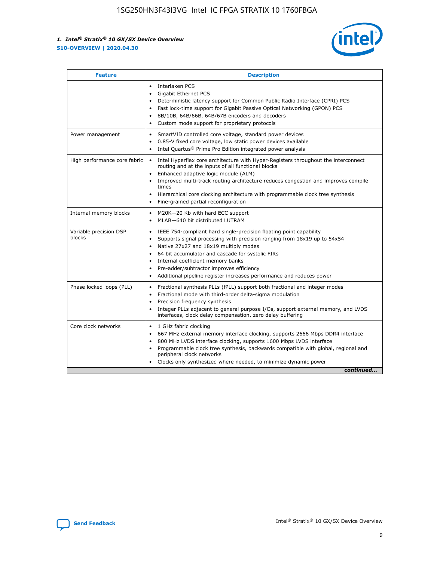

| <b>Feature</b>                   | <b>Description</b>                                                                                                                                                                                                                                                                                                                                                                                                                                                    |  |  |  |
|----------------------------------|-----------------------------------------------------------------------------------------------------------------------------------------------------------------------------------------------------------------------------------------------------------------------------------------------------------------------------------------------------------------------------------------------------------------------------------------------------------------------|--|--|--|
|                                  | Interlaken PCS<br>$\bullet$<br>Gigabit Ethernet PCS<br>$\bullet$<br>Deterministic latency support for Common Public Radio Interface (CPRI) PCS<br>$\bullet$<br>Fast lock-time support for Gigabit Passive Optical Networking (GPON) PCS<br>$\bullet$<br>8B/10B, 64B/66B, 64B/67B encoders and decoders<br>Custom mode support for proprietary protocols                                                                                                               |  |  |  |
| Power management                 | SmartVID controlled core voltage, standard power devices<br>$\bullet$<br>0.85-V fixed core voltage, low static power devices available<br>$\bullet$<br>Intel Quartus <sup>®</sup> Prime Pro Edition integrated power analysis<br>$\bullet$                                                                                                                                                                                                                            |  |  |  |
| High performance core fabric     | Intel Hyperflex core architecture with Hyper-Registers throughout the interconnect<br>routing and at the inputs of all functional blocks<br>Enhanced adaptive logic module (ALM)<br>$\bullet$<br>Improved multi-track routing architecture reduces congestion and improves compile<br>times<br>Hierarchical core clocking architecture with programmable clock tree synthesis<br>$\bullet$<br>Fine-grained partial reconfiguration                                    |  |  |  |
| Internal memory blocks           | M20K-20 Kb with hard ECC support<br>$\bullet$<br>MLAB-640 bit distributed LUTRAM<br>$\bullet$                                                                                                                                                                                                                                                                                                                                                                         |  |  |  |
| Variable precision DSP<br>blocks | IEEE 754-compliant hard single-precision floating point capability<br>$\bullet$<br>Supports signal processing with precision ranging from 18x19 up to 54x54<br>$\bullet$<br>Native 27x27 and 18x19 multiply modes<br>$\bullet$<br>64 bit accumulator and cascade for systolic FIRs<br>Internal coefficient memory banks<br>Pre-adder/subtractor improves efficiency<br>$\bullet$<br>Additional pipeline register increases performance and reduces power<br>$\bullet$ |  |  |  |
| Phase locked loops (PLL)         | Fractional synthesis PLLs (fPLL) support both fractional and integer modes<br>$\bullet$<br>Fractional mode with third-order delta-sigma modulation<br>Precision frequency synthesis<br>$\bullet$<br>Integer PLLs adjacent to general purpose I/Os, support external memory, and LVDS<br>$\bullet$<br>interfaces, clock delay compensation, zero delay buffering                                                                                                       |  |  |  |
| Core clock networks              | 1 GHz fabric clocking<br>$\bullet$<br>667 MHz external memory interface clocking, supports 2666 Mbps DDR4 interface<br>٠<br>800 MHz LVDS interface clocking, supports 1600 Mbps LVDS interface<br>$\bullet$<br>Programmable clock tree synthesis, backwards compatible with global, regional and<br>$\bullet$<br>peripheral clock networks<br>Clocks only synthesized where needed, to minimize dynamic power<br>continued                                            |  |  |  |

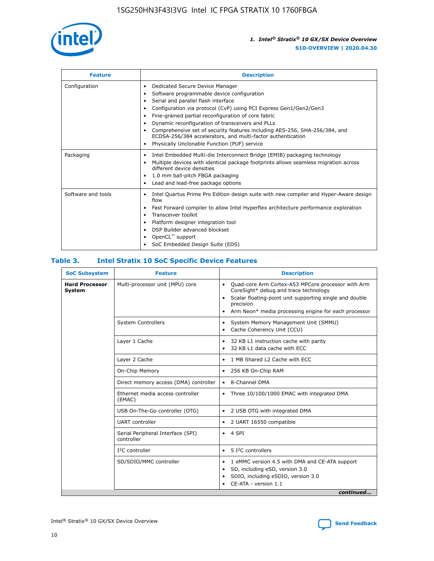

| <b>Feature</b>     | <b>Description</b>                                                                                                                                                                                                                                                                                                                                                                                                                                                                                                                                                   |
|--------------------|----------------------------------------------------------------------------------------------------------------------------------------------------------------------------------------------------------------------------------------------------------------------------------------------------------------------------------------------------------------------------------------------------------------------------------------------------------------------------------------------------------------------------------------------------------------------|
| Configuration      | Dedicated Secure Device Manager<br>$\bullet$<br>Software programmable device configuration<br>٠<br>Serial and parallel flash interface<br>٠<br>Configuration via protocol (CvP) using PCI Express Gen1/Gen2/Gen3<br>٠<br>Fine-grained partial reconfiguration of core fabric<br>$\bullet$<br>Dynamic reconfiguration of transceivers and PLLs<br>$\bullet$<br>Comprehensive set of security features including AES-256, SHA-256/384, and<br>ECDSA-256/384 accelerators, and multi-factor authentication<br>Physically Unclonable Function (PUF) service<br>$\bullet$ |
| Packaging          | Intel Embedded Multi-die Interconnect Bridge (EMIB) packaging technology<br>٠<br>Multiple devices with identical package footprints allows seamless migration across<br>$\bullet$<br>different device densities<br>1.0 mm ball-pitch FBGA packaging<br>$\bullet$<br>Lead and lead-free package options                                                                                                                                                                                                                                                               |
| Software and tools | Intel Quartus Prime Pro Edition design suite with new compiler and Hyper-Aware design<br>flow<br>Fast Forward compiler to allow Intel Hyperflex architecture performance exploration<br>$\bullet$<br>Transceiver toolkit<br>$\bullet$<br>Platform designer integration tool<br>DSP Builder advanced blockset<br>OpenCL <sup>™</sup> support<br>SoC Embedded Design Suite (EDS)                                                                                                                                                                                       |

### **Table 3. Intel Stratix 10 SoC Specific Device Features**

| <b>Hard Processor</b><br>Multi-processor unit (MPU) core<br>Quad-core Arm Cortex-A53 MPCore processor with Arm<br>$\bullet$<br>CoreSight* debug and trace technology<br>System<br>Scalar floating-point unit supporting single and double<br>$\bullet$<br>precision<br>Arm Neon* media processing engine for each processor<br>$\bullet$<br><b>System Controllers</b><br>System Memory Management Unit (SMMU)<br>$\bullet$<br>Cache Coherency Unit (CCU)<br>$\bullet$<br>Layer 1 Cache<br>32 KB L1 instruction cache with parity<br>$\bullet$<br>32 KB L1 data cache with ECC<br>$\bullet$<br>Layer 2 Cache<br>1 MB Shared L2 Cache with ECC<br>$\bullet$<br>On-Chip Memory<br>256 KB On-Chip RAM<br>٠<br>Direct memory access (DMA) controller<br>8-Channel DMA<br>$\bullet$<br>Ethernet media access controller<br>Three 10/100/1000 EMAC with integrated DMA<br>$\bullet$<br>(EMAC)<br>USB On-The-Go controller (OTG)<br>2 USB OTG with integrated DMA<br>$\bullet$<br><b>UART</b> controller<br>2 UART 16550 compatible<br>$\bullet$<br>Serial Peripheral Interface (SPI)<br>4 SPI<br>$\bullet$<br>controller<br>$I2C$ controller<br>5 I <sup>2</sup> C controllers<br>$\bullet$<br>SD/SDIO/MMC controller<br>1 eMMC version 4.5 with DMA and CE-ATA support<br>$\bullet$<br>SD, including eSD, version 3.0<br>$\bullet$<br>SDIO, including eSDIO, version 3.0<br>$\bullet$<br>CE-ATA - version 1.1 | <b>SoC Subsystem</b> | <b>Feature</b> | <b>Description</b> |  |  |
|---------------------------------------------------------------------------------------------------------------------------------------------------------------------------------------------------------------------------------------------------------------------------------------------------------------------------------------------------------------------------------------------------------------------------------------------------------------------------------------------------------------------------------------------------------------------------------------------------------------------------------------------------------------------------------------------------------------------------------------------------------------------------------------------------------------------------------------------------------------------------------------------------------------------------------------------------------------------------------------------------------------------------------------------------------------------------------------------------------------------------------------------------------------------------------------------------------------------------------------------------------------------------------------------------------------------------------------------------------------------------------------------------------|----------------------|----------------|--------------------|--|--|
|                                                                                                                                                                                                                                                                                                                                                                                                                                                                                                                                                                                                                                                                                                                                                                                                                                                                                                                                                                                                                                                                                                                                                                                                                                                                                                                                                                                                         |                      |                |                    |  |  |
|                                                                                                                                                                                                                                                                                                                                                                                                                                                                                                                                                                                                                                                                                                                                                                                                                                                                                                                                                                                                                                                                                                                                                                                                                                                                                                                                                                                                         |                      |                |                    |  |  |
|                                                                                                                                                                                                                                                                                                                                                                                                                                                                                                                                                                                                                                                                                                                                                                                                                                                                                                                                                                                                                                                                                                                                                                                                                                                                                                                                                                                                         |                      |                |                    |  |  |
|                                                                                                                                                                                                                                                                                                                                                                                                                                                                                                                                                                                                                                                                                                                                                                                                                                                                                                                                                                                                                                                                                                                                                                                                                                                                                                                                                                                                         |                      |                |                    |  |  |
|                                                                                                                                                                                                                                                                                                                                                                                                                                                                                                                                                                                                                                                                                                                                                                                                                                                                                                                                                                                                                                                                                                                                                                                                                                                                                                                                                                                                         |                      |                |                    |  |  |
|                                                                                                                                                                                                                                                                                                                                                                                                                                                                                                                                                                                                                                                                                                                                                                                                                                                                                                                                                                                                                                                                                                                                                                                                                                                                                                                                                                                                         |                      |                |                    |  |  |
|                                                                                                                                                                                                                                                                                                                                                                                                                                                                                                                                                                                                                                                                                                                                                                                                                                                                                                                                                                                                                                                                                                                                                                                                                                                                                                                                                                                                         |                      |                |                    |  |  |
|                                                                                                                                                                                                                                                                                                                                                                                                                                                                                                                                                                                                                                                                                                                                                                                                                                                                                                                                                                                                                                                                                                                                                                                                                                                                                                                                                                                                         |                      |                |                    |  |  |
|                                                                                                                                                                                                                                                                                                                                                                                                                                                                                                                                                                                                                                                                                                                                                                                                                                                                                                                                                                                                                                                                                                                                                                                                                                                                                                                                                                                                         |                      |                |                    |  |  |
|                                                                                                                                                                                                                                                                                                                                                                                                                                                                                                                                                                                                                                                                                                                                                                                                                                                                                                                                                                                                                                                                                                                                                                                                                                                                                                                                                                                                         |                      |                |                    |  |  |
|                                                                                                                                                                                                                                                                                                                                                                                                                                                                                                                                                                                                                                                                                                                                                                                                                                                                                                                                                                                                                                                                                                                                                                                                                                                                                                                                                                                                         |                      |                |                    |  |  |
| continued                                                                                                                                                                                                                                                                                                                                                                                                                                                                                                                                                                                                                                                                                                                                                                                                                                                                                                                                                                                                                                                                                                                                                                                                                                                                                                                                                                                               |                      |                |                    |  |  |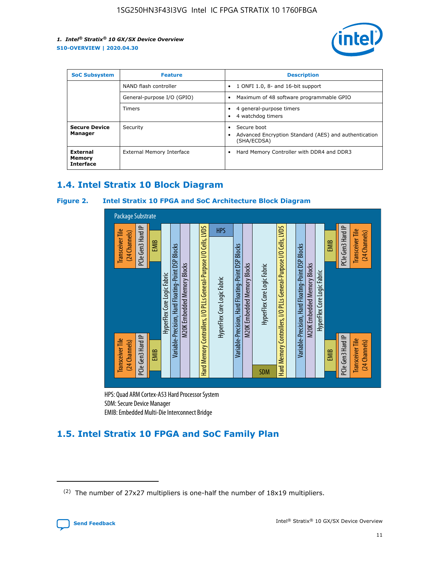

| <b>SoC Subsystem</b><br><b>Feature</b> |                            | <b>Description</b>                                                                                    |
|----------------------------------------|----------------------------|-------------------------------------------------------------------------------------------------------|
|                                        | NAND flash controller      | 1 ONFI 1.0, 8- and 16-bit support<br>$\bullet$                                                        |
|                                        | General-purpose I/O (GPIO) | Maximum of 48 software programmable GPIO<br>$\bullet$                                                 |
|                                        | Timers                     | 4 general-purpose timers<br>4 watchdog timers<br>٠                                                    |
| <b>Secure Device</b><br>Manager        | Security                   | Secure boot<br>$\bullet$<br>Advanced Encryption Standard (AES) and authentication<br>٠<br>(SHA/ECDSA) |
| External<br>Memory<br><b>Interface</b> | External Memory Interface  | Hard Memory Controller with DDR4 and DDR3<br>$\bullet$                                                |

### **1.4. Intel Stratix 10 Block Diagram**

### **Figure 2. Intel Stratix 10 FPGA and SoC Architecture Block Diagram**



HPS: Quad ARM Cortex-A53 Hard Processor System SDM: Secure Device Manager

## **1.5. Intel Stratix 10 FPGA and SoC Family Plan**

<sup>(2)</sup> The number of 27x27 multipliers is one-half the number of 18x19 multipliers.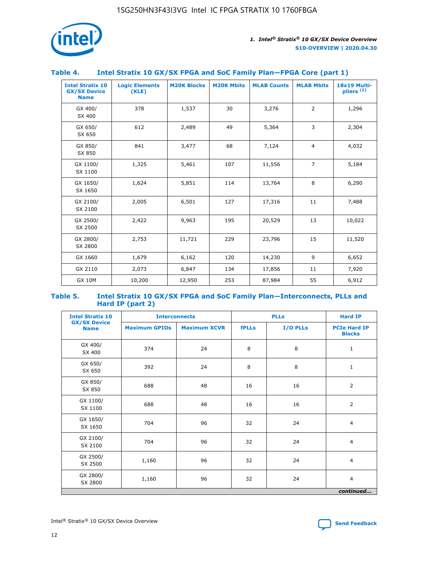

### **Table 4. Intel Stratix 10 GX/SX FPGA and SoC Family Plan—FPGA Core (part 1)**

| <b>Intel Stratix 10</b><br><b>GX/SX Device</b><br><b>Name</b> | <b>Logic Elements</b><br>(KLE) | <b>M20K Blocks</b> | <b>M20K Mbits</b> | <b>MLAB Counts</b> | <b>MLAB Mbits</b> | 18x19 Multi-<br>pliers <sup>(2)</sup> |
|---------------------------------------------------------------|--------------------------------|--------------------|-------------------|--------------------|-------------------|---------------------------------------|
| GX 400/<br>SX 400                                             | 378                            | 1,537              | 30                | 3,276              | $\overline{2}$    | 1,296                                 |
| GX 650/<br>SX 650                                             | 612                            | 2,489              | 49                | 5,364              | 3                 | 2,304                                 |
| GX 850/<br>SX 850                                             | 841                            | 3,477              | 68                | 7,124              | $\overline{4}$    | 4,032                                 |
| GX 1100/<br>SX 1100                                           | 1,325                          | 5,461              | 107               | 11,556             | $\overline{7}$    | 5,184                                 |
| GX 1650/<br>SX 1650                                           | 1,624                          | 5,851              | 114               | 13,764             | 8                 | 6,290                                 |
| GX 2100/<br>SX 2100                                           | 2,005                          | 6,501              | 127               | 17,316             | 11                | 7,488                                 |
| GX 2500/<br>SX 2500                                           | 2,422                          | 9,963              | 195               | 20,529             | 13                | 10,022                                |
| GX 2800/<br>SX 2800                                           | 2,753                          | 11,721             | 229               | 23,796             | 15                | 11,520                                |
| GX 1660                                                       | 1,679                          | 6,162              | 120               | 14,230             | 9                 | 6,652                                 |
| GX 2110                                                       | 2,073                          | 6,847              | 134               | 17,856             | 11                | 7,920                                 |
| <b>GX 10M</b>                                                 | 10,200                         | 12,950             | 253               | 87,984             | 55                | 6,912                                 |

#### **Table 5. Intel Stratix 10 GX/SX FPGA and SoC Family Plan—Interconnects, PLLs and Hard IP (part 2)**

| <b>Intel Stratix 10</b>            | <b>Interconnects</b> |                     |              | <b>PLLs</b> | <b>Hard IP</b>                       |  |
|------------------------------------|----------------------|---------------------|--------------|-------------|--------------------------------------|--|
| <b>GX/SX Device</b><br><b>Name</b> | <b>Maximum GPIOs</b> | <b>Maximum XCVR</b> | <b>fPLLs</b> | I/O PLLs    | <b>PCIe Hard IP</b><br><b>Blocks</b> |  |
| GX 400/<br>SX 400                  | 374                  | 24                  | 8            | 8           | $\mathbf{1}$                         |  |
| GX 650/<br>SX 650                  | 392                  | 24                  | 8            | 8           | $\mathbf{1}$                         |  |
| GX 850/<br>SX 850                  | 688                  | 48                  | 16           | 16          | 2                                    |  |
| GX 1100/<br>SX 1100                | 688                  | 48                  | 16           | 16          | 2                                    |  |
| GX 1650/<br>SX 1650                | 704                  | 96                  | 32           | 24          | $\overline{4}$                       |  |
| GX 2100/<br>SX 2100                | 704                  | 96                  | 32           | 24          | $\overline{4}$                       |  |
| GX 2500/<br>SX 2500                | 1,160                | 96                  | 32           | 24          | $\overline{4}$                       |  |
| GX 2800/<br>SX 2800                | 1,160                | 96                  | 32           | 24          | $\overline{4}$                       |  |
| continued                          |                      |                     |              |             |                                      |  |

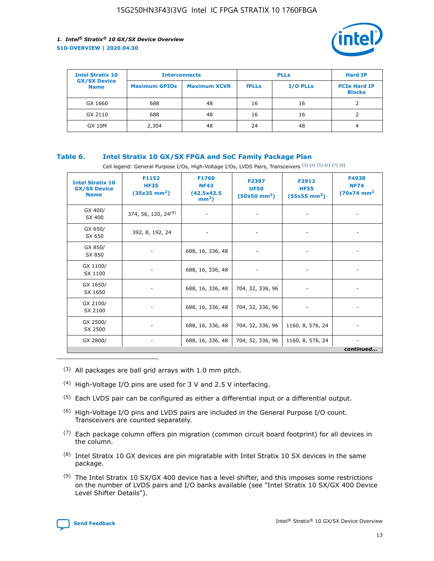

| <b>Intel Stratix 10</b>            | <b>Interconnects</b> |                     | <b>PLLs</b>  |                 | <b>Hard IP</b>                       |
|------------------------------------|----------------------|---------------------|--------------|-----------------|--------------------------------------|
| <b>GX/SX Device</b><br><b>Name</b> | <b>Maximum GPIOs</b> | <b>Maximum XCVR</b> | <b>fPLLs</b> | <b>I/O PLLs</b> | <b>PCIe Hard IP</b><br><b>Blocks</b> |
| GX 1660                            | 688                  | 48                  | 16           | 16              |                                      |
| GX 2110                            | 688                  | 48                  | 16           | 16              |                                      |
| <b>GX 10M</b>                      | 2,304                | 48                  | 24           | 48              | 4                                    |

### **Table 6. Intel Stratix 10 GX/SX FPGA and SoC Family Package Plan**

Cell legend: General Purpose I/Os, High-Voltage I/Os, LVDS Pairs, Transceivers (3) (4) (5) (6) (7) (8)

| <b>Intel Stratix 10</b><br><b>GX/SX Device</b><br><b>Name</b> | F1152<br><b>HF35</b><br>$(35x35)$ mm <sup>2</sup> ) | <b>F1760</b><br><b>NF43</b><br>(42.5x42.5<br>$mm2$ ) | F2397<br><b>UF50</b><br>$(50x50 \text{ mm}^2)$ | F2912<br><b>HF55</b><br>$(55x55 \text{ mm}^2)$ | F4938<br><b>NF74</b><br>$(70x74)$ mm <sup>2</sup> |
|---------------------------------------------------------------|-----------------------------------------------------|------------------------------------------------------|------------------------------------------------|------------------------------------------------|---------------------------------------------------|
| GX 400/<br>SX 400                                             | 374, 56, 120, 24 <sup>(9)</sup>                     | $\overline{\phantom{a}}$                             | $\overline{\phantom{a}}$                       |                                                |                                                   |
| GX 650/<br>SX 650                                             | 392, 8, 192, 24                                     | ٠                                                    | $\qquad \qquad \blacksquare$                   |                                                |                                                   |
| GX 850/<br>SX 850                                             | $\overline{\phantom{a}}$                            | 688, 16, 336, 48                                     | $\overline{\phantom{a}}$                       |                                                |                                                   |
| GX 1100/<br>SX 1100                                           | -                                                   | 688, 16, 336, 48                                     |                                                |                                                |                                                   |
| GX 1650/<br>SX 1650                                           |                                                     | 688, 16, 336, 48                                     | 704, 32, 336, 96                               | $\overline{\phantom{a}}$                       | $\overline{\phantom{0}}$                          |
| GX 2100/<br>SX 2100                                           |                                                     | 688, 16, 336, 48                                     | 704, 32, 336, 96                               | $\overline{\phantom{a}}$                       | ٠                                                 |
| GX 2500/<br>SX 2500                                           |                                                     | 688, 16, 336, 48                                     | 704, 32, 336, 96                               | 1160, 8, 576, 24                               |                                                   |
| GX 2800/                                                      | -                                                   | 688, 16, 336, 48                                     | 704, 32, 336, 96                               | 1160, 8, 576, 24                               | continued                                         |

- (3) All packages are ball grid arrays with 1.0 mm pitch.
- (4) High-Voltage I/O pins are used for 3 V and 2.5 V interfacing.
- $(5)$  Each LVDS pair can be configured as either a differential input or a differential output.
- (6) High-Voltage I/O pins and LVDS pairs are included in the General Purpose I/O count. Transceivers are counted separately.
- $(7)$  Each package column offers pin migration (common circuit board footprint) for all devices in the column.
- $(8)$  Intel Stratix 10 GX devices are pin migratable with Intel Stratix 10 SX devices in the same package.
- $(9)$  The Intel Stratix 10 SX/GX 400 device has a level shifter, and this imposes some restrictions on the number of LVDS pairs and I/O banks available (see "Intel Stratix 10 SX/GX 400 Device Level Shifter Details").

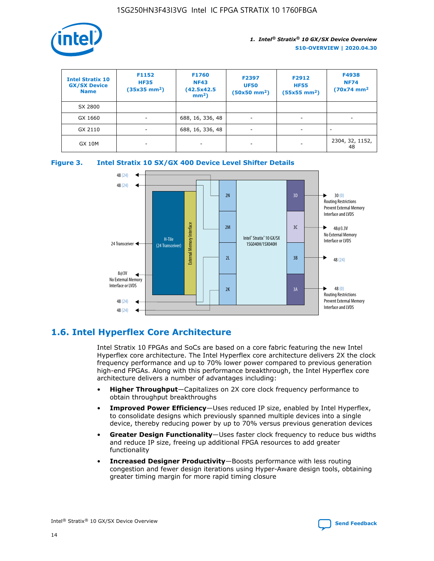

| <b>Intel Stratix 10</b><br><b>GX/SX Device</b><br><b>Name</b> | F1152<br><b>HF35</b><br>$(35x35)$ mm <sup>2</sup> ) | <b>F1760</b><br><b>NF43</b><br>(42.5x42.5<br>$mm2$ ) | F2397<br><b>UF50</b><br>$(50x50 \text{ mm}^2)$ | F2912<br><b>HF55</b><br>$(55x55$ mm <sup>2</sup> ) | F4938<br><b>NF74</b><br>$(70x74)$ mm <sup>2</sup> |
|---------------------------------------------------------------|-----------------------------------------------------|------------------------------------------------------|------------------------------------------------|----------------------------------------------------|---------------------------------------------------|
| SX 2800                                                       |                                                     |                                                      |                                                |                                                    |                                                   |
| GX 1660                                                       | -                                                   | 688, 16, 336, 48                                     | $\overline{\phantom{a}}$                       |                                                    |                                                   |
| GX 2110                                                       |                                                     | 688, 16, 336, 48                                     | $\overline{\phantom{a}}$                       |                                                    |                                                   |
| <b>GX 10M</b>                                                 | ۰                                                   |                                                      |                                                |                                                    | 2304, 32, 1152,<br>48                             |





### **1.6. Intel Hyperflex Core Architecture**

Intel Stratix 10 FPGAs and SoCs are based on a core fabric featuring the new Intel Hyperflex core architecture. The Intel Hyperflex core architecture delivers 2X the clock frequency performance and up to 70% lower power compared to previous generation high-end FPGAs. Along with this performance breakthrough, the Intel Hyperflex core architecture delivers a number of advantages including:

- **Higher Throughput**—Capitalizes on 2X core clock frequency performance to obtain throughput breakthroughs
- **Improved Power Efficiency**—Uses reduced IP size, enabled by Intel Hyperflex, to consolidate designs which previously spanned multiple devices into a single device, thereby reducing power by up to 70% versus previous generation devices
- **Greater Design Functionality**—Uses faster clock frequency to reduce bus widths and reduce IP size, freeing up additional FPGA resources to add greater functionality
- **Increased Designer Productivity**—Boosts performance with less routing congestion and fewer design iterations using Hyper-Aware design tools, obtaining greater timing margin for more rapid timing closure

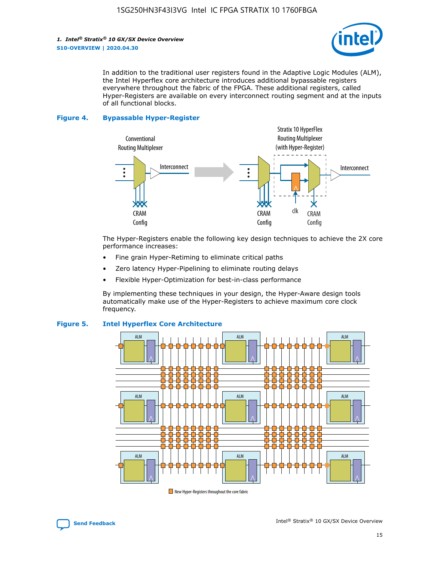

In addition to the traditional user registers found in the Adaptive Logic Modules (ALM), the Intel Hyperflex core architecture introduces additional bypassable registers everywhere throughout the fabric of the FPGA. These additional registers, called Hyper-Registers are available on every interconnect routing segment and at the inputs of all functional blocks.

#### **Figure 4. Bypassable Hyper-Register**



The Hyper-Registers enable the following key design techniques to achieve the 2X core performance increases:

- Fine grain Hyper-Retiming to eliminate critical paths
- Zero latency Hyper-Pipelining to eliminate routing delays
- Flexible Hyper-Optimization for best-in-class performance

By implementing these techniques in your design, the Hyper-Aware design tools automatically make use of the Hyper-Registers to achieve maximum core clock frequency.



### **Figure 5. Intel Hyperflex Core Architecture**

New Hyper-Registers throughout the core fabric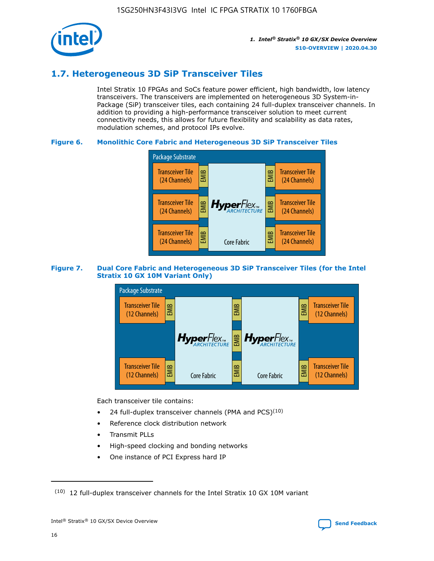

### **1.7. Heterogeneous 3D SiP Transceiver Tiles**

Intel Stratix 10 FPGAs and SoCs feature power efficient, high bandwidth, low latency transceivers. The transceivers are implemented on heterogeneous 3D System-in-Package (SiP) transceiver tiles, each containing 24 full-duplex transceiver channels. In addition to providing a high-performance transceiver solution to meet current connectivity needs, this allows for future flexibility and scalability as data rates, modulation schemes, and protocol IPs evolve.

### **Figure 6. Monolithic Core Fabric and Heterogeneous 3D SiP Transceiver Tiles**



### **Figure 7. Dual Core Fabric and Heterogeneous 3D SiP Transceiver Tiles (for the Intel Stratix 10 GX 10M Variant Only)**



Each transceiver tile contains:

- 24 full-duplex transceiver channels (PMA and PCS) $(10)$
- Reference clock distribution network
- Transmit PLLs
- High-speed clocking and bonding networks
- One instance of PCI Express hard IP

16



 $(10)$  12 full-duplex transceiver channels for the Intel Stratix 10 GX 10M variant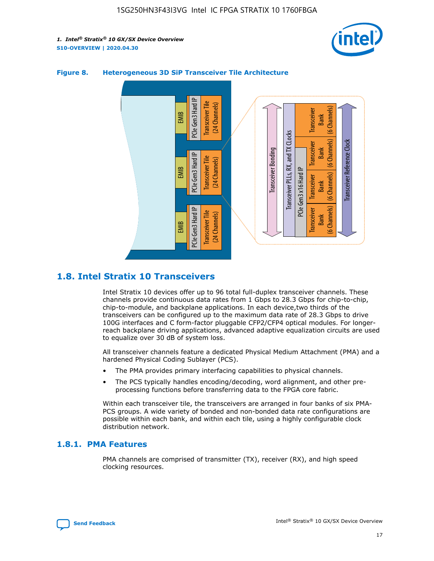



### **Figure 8. Heterogeneous 3D SiP Transceiver Tile Architecture**

### **1.8. Intel Stratix 10 Transceivers**

Intel Stratix 10 devices offer up to 96 total full-duplex transceiver channels. These channels provide continuous data rates from 1 Gbps to 28.3 Gbps for chip-to-chip, chip-to-module, and backplane applications. In each device,two thirds of the transceivers can be configured up to the maximum data rate of 28.3 Gbps to drive 100G interfaces and C form-factor pluggable CFP2/CFP4 optical modules. For longerreach backplane driving applications, advanced adaptive equalization circuits are used to equalize over 30 dB of system loss.

All transceiver channels feature a dedicated Physical Medium Attachment (PMA) and a hardened Physical Coding Sublayer (PCS).

- The PMA provides primary interfacing capabilities to physical channels.
- The PCS typically handles encoding/decoding, word alignment, and other preprocessing functions before transferring data to the FPGA core fabric.

Within each transceiver tile, the transceivers are arranged in four banks of six PMA-PCS groups. A wide variety of bonded and non-bonded data rate configurations are possible within each bank, and within each tile, using a highly configurable clock distribution network.

### **1.8.1. PMA Features**

PMA channels are comprised of transmitter (TX), receiver (RX), and high speed clocking resources.

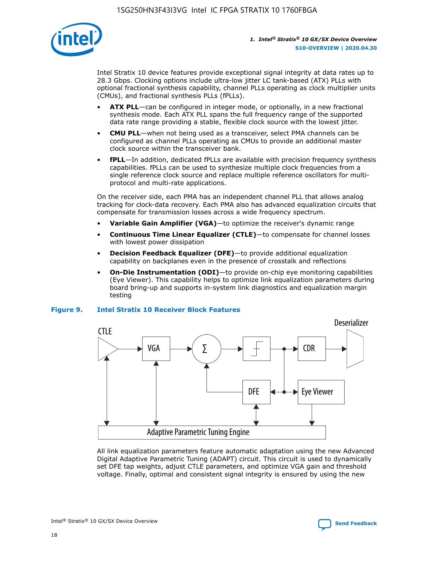

Intel Stratix 10 device features provide exceptional signal integrity at data rates up to 28.3 Gbps. Clocking options include ultra-low jitter LC tank-based (ATX) PLLs with optional fractional synthesis capability, channel PLLs operating as clock multiplier units (CMUs), and fractional synthesis PLLs (fPLLs).

- **ATX PLL**—can be configured in integer mode, or optionally, in a new fractional synthesis mode. Each ATX PLL spans the full frequency range of the supported data rate range providing a stable, flexible clock source with the lowest jitter.
- **CMU PLL**—when not being used as a transceiver, select PMA channels can be configured as channel PLLs operating as CMUs to provide an additional master clock source within the transceiver bank.
- **fPLL**—In addition, dedicated fPLLs are available with precision frequency synthesis capabilities. fPLLs can be used to synthesize multiple clock frequencies from a single reference clock source and replace multiple reference oscillators for multiprotocol and multi-rate applications.

On the receiver side, each PMA has an independent channel PLL that allows analog tracking for clock-data recovery. Each PMA also has advanced equalization circuits that compensate for transmission losses across a wide frequency spectrum.

- **Variable Gain Amplifier (VGA)**—to optimize the receiver's dynamic range
- **Continuous Time Linear Equalizer (CTLE)**—to compensate for channel losses with lowest power dissipation
- **Decision Feedback Equalizer (DFE)**—to provide additional equalization capability on backplanes even in the presence of crosstalk and reflections
- **On-Die Instrumentation (ODI)**—to provide on-chip eye monitoring capabilities (Eye Viewer). This capability helps to optimize link equalization parameters during board bring-up and supports in-system link diagnostics and equalization margin testing

#### **Figure 9. Intel Stratix 10 Receiver Block Features**



All link equalization parameters feature automatic adaptation using the new Advanced Digital Adaptive Parametric Tuning (ADAPT) circuit. This circuit is used to dynamically set DFE tap weights, adjust CTLE parameters, and optimize VGA gain and threshold voltage. Finally, optimal and consistent signal integrity is ensured by using the new



Intel<sup>®</sup> Stratix<sup>®</sup> 10 GX/SX Device Overview **[Send Feedback](mailto:FPGAtechdocfeedback@intel.com?subject=Feedback%20on%20Intel%20Stratix%2010%20GX/SX%20Device%20Overview%20(S10-OVERVIEW%202020.04.30)&body=We%20appreciate%20your%20feedback.%20In%20your%20comments,%20also%20specify%20the%20page%20number%20or%20paragraph.%20Thank%20you.)** Send Feedback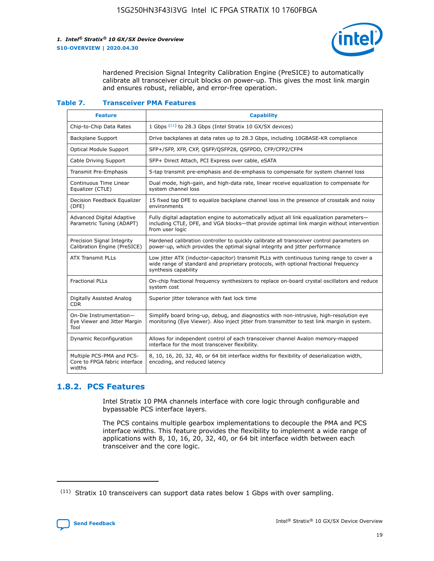

hardened Precision Signal Integrity Calibration Engine (PreSICE) to automatically calibrate all transceiver circuit blocks on power-up. This gives the most link margin and ensures robust, reliable, and error-free operation.

#### **Table 7. Transceiver PMA Features**

| <b>Feature</b>                                                       | <b>Capability</b>                                                                                                                                                                                         |
|----------------------------------------------------------------------|-----------------------------------------------------------------------------------------------------------------------------------------------------------------------------------------------------------|
| Chip-to-Chip Data Rates                                              | 1 Gbps (11) to 28.3 Gbps (Intel Stratix 10 GX/SX devices)                                                                                                                                                 |
| <b>Backplane Support</b>                                             | Drive backplanes at data rates up to 28.3 Gbps, including 10GBASE-KR compliance                                                                                                                           |
| Optical Module Support                                               | SFP+/SFP, XFP, CXP, QSFP/QSFP28, QSFPDD, CFP/CFP2/CFP4                                                                                                                                                    |
| Cable Driving Support                                                | SFP+ Direct Attach, PCI Express over cable, eSATA                                                                                                                                                         |
| <b>Transmit Pre-Emphasis</b>                                         | 5-tap transmit pre-emphasis and de-emphasis to compensate for system channel loss                                                                                                                         |
| Continuous Time Linear<br>Equalizer (CTLE)                           | Dual mode, high-gain, and high-data rate, linear receive equalization to compensate for<br>system channel loss                                                                                            |
| Decision Feedback Equalizer<br>(DFE)                                 | 15 fixed tap DFE to equalize backplane channel loss in the presence of crosstalk and noisy<br>environments                                                                                                |
| Advanced Digital Adaptive<br>Parametric Tuning (ADAPT)               | Fully digital adaptation engine to automatically adjust all link equalization parameters-<br>including CTLE, DFE, and VGA blocks-that provide optimal link margin without intervention<br>from user logic |
| Precision Signal Integrity<br>Calibration Engine (PreSICE)           | Hardened calibration controller to quickly calibrate all transceiver control parameters on<br>power-up, which provides the optimal signal integrity and jitter performance                                |
| <b>ATX Transmit PLLs</b>                                             | Low jitter ATX (inductor-capacitor) transmit PLLs with continuous tuning range to cover a<br>wide range of standard and proprietary protocols, with optional fractional frequency<br>synthesis capability |
| <b>Fractional PLLs</b>                                               | On-chip fractional frequency synthesizers to replace on-board crystal oscillators and reduce<br>system cost                                                                                               |
| Digitally Assisted Analog<br>CDR.                                    | Superior jitter tolerance with fast lock time                                                                                                                                                             |
| On-Die Instrumentation-<br>Eye Viewer and Jitter Margin<br>Tool      | Simplify board bring-up, debug, and diagnostics with non-intrusive, high-resolution eye<br>monitoring (Eye Viewer). Also inject jitter from transmitter to test link margin in system.                    |
| Dynamic Reconfiguration                                              | Allows for independent control of each transceiver channel Avalon memory-mapped<br>interface for the most transceiver flexibility.                                                                        |
| Multiple PCS-PMA and PCS-<br>Core to FPGA fabric interface<br>widths | 8, 10, 16, 20, 32, 40, or 64 bit interface widths for flexibility of deserialization width,<br>encoding, and reduced latency                                                                              |

### **1.8.2. PCS Features**

Intel Stratix 10 PMA channels interface with core logic through configurable and bypassable PCS interface layers.

The PCS contains multiple gearbox implementations to decouple the PMA and PCS interface widths. This feature provides the flexibility to implement a wide range of applications with 8, 10, 16, 20, 32, 40, or 64 bit interface width between each transceiver and the core logic.

<sup>(11)</sup> Stratix 10 transceivers can support data rates below 1 Gbps with over sampling.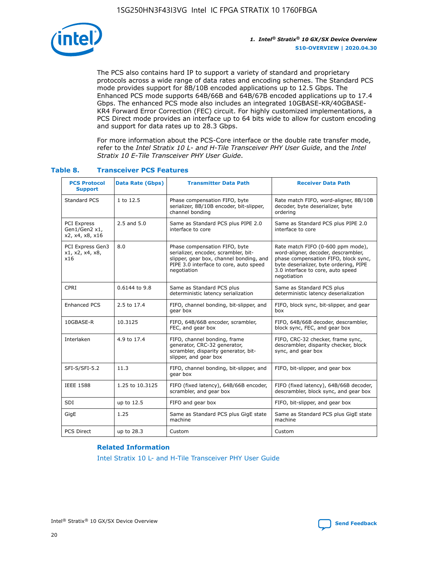

The PCS also contains hard IP to support a variety of standard and proprietary protocols across a wide range of data rates and encoding schemes. The Standard PCS mode provides support for 8B/10B encoded applications up to 12.5 Gbps. The Enhanced PCS mode supports 64B/66B and 64B/67B encoded applications up to 17.4 Gbps. The enhanced PCS mode also includes an integrated 10GBASE-KR/40GBASE-KR4 Forward Error Correction (FEC) circuit. For highly customized implementations, a PCS Direct mode provides an interface up to 64 bits wide to allow for custom encoding and support for data rates up to 28.3 Gbps.

For more information about the PCS-Core interface or the double rate transfer mode, refer to the *Intel Stratix 10 L- and H-Tile Transceiver PHY User Guide*, and the *Intel Stratix 10 E-Tile Transceiver PHY User Guide*.

| <b>PCS Protocol</b><br><b>Support</b>           | Data Rate (Gbps) | <b>Transmitter Data Path</b>                                                                                                                                              | <b>Receiver Data Path</b>                                                                                                                                                                                      |
|-------------------------------------------------|------------------|---------------------------------------------------------------------------------------------------------------------------------------------------------------------------|----------------------------------------------------------------------------------------------------------------------------------------------------------------------------------------------------------------|
| Standard PCS                                    | 1 to 12.5        | Phase compensation FIFO, byte<br>serializer, 8B/10B encoder, bit-slipper,<br>channel bonding                                                                              | Rate match FIFO, word-aligner, 8B/10B<br>decoder, byte deserializer, byte<br>ordering                                                                                                                          |
| PCI Express<br>Gen1/Gen2 x1,<br>x2, x4, x8, x16 | $2.5$ and $5.0$  | Same as Standard PCS plus PIPE 2.0<br>interface to core                                                                                                                   | Same as Standard PCS plus PIPE 2.0<br>interface to core                                                                                                                                                        |
| PCI Express Gen3<br>x1, x2, x4, x8,<br>x16      | 8.0              | Phase compensation FIFO, byte<br>serializer, encoder, scrambler, bit-<br>slipper, gear box, channel bonding, and<br>PIPE 3.0 interface to core, auto speed<br>negotiation | Rate match FIFO (0-600 ppm mode),<br>word-aligner, decoder, descrambler,<br>phase compensation FIFO, block sync,<br>byte deserializer, byte ordering, PIPE<br>3.0 interface to core, auto speed<br>negotiation |
| CPRI                                            | 0.6144 to 9.8    | Same as Standard PCS plus<br>deterministic latency serialization                                                                                                          | Same as Standard PCS plus<br>deterministic latency deserialization                                                                                                                                             |
| <b>Enhanced PCS</b>                             | 2.5 to 17.4      | FIFO, channel bonding, bit-slipper, and<br>gear box                                                                                                                       | FIFO, block sync, bit-slipper, and gear<br>box                                                                                                                                                                 |
| 10GBASE-R                                       | 10.3125          | FIFO, 64B/66B encoder, scrambler,<br>FEC, and gear box                                                                                                                    | FIFO, 64B/66B decoder, descrambler,<br>block sync, FEC, and gear box                                                                                                                                           |
| Interlaken                                      | 4.9 to 17.4      | FIFO, channel bonding, frame<br>generator, CRC-32 generator,<br>scrambler, disparity generator, bit-<br>slipper, and gear box                                             | FIFO, CRC-32 checker, frame sync,<br>descrambler, disparity checker, block<br>sync, and gear box                                                                                                               |
| SFI-S/SFI-5.2                                   | 11.3             | FIFO, channel bonding, bit-slipper, and<br>gear box                                                                                                                       | FIFO, bit-slipper, and gear box                                                                                                                                                                                |
| <b>IEEE 1588</b>                                | 1.25 to 10.3125  | FIFO (fixed latency), 64B/66B encoder,<br>scrambler, and gear box                                                                                                         | FIFO (fixed latency), 64B/66B decoder,<br>descrambler, block sync, and gear box                                                                                                                                |
| SDI                                             | up to 12.5       | FIFO and gear box                                                                                                                                                         | FIFO, bit-slipper, and gear box                                                                                                                                                                                |
| GigE                                            | 1.25             | Same as Standard PCS plus GigE state<br>machine                                                                                                                           | Same as Standard PCS plus GigE state<br>machine                                                                                                                                                                |
| <b>PCS Direct</b>                               | up to 28.3       | Custom                                                                                                                                                                    | Custom                                                                                                                                                                                                         |

### **Table 8. Transceiver PCS Features**

#### **Related Information**

[Intel Stratix 10 L- and H-Tile Transceiver PHY User Guide](https://www.altera.com/documentation/wry1479165198810.html)

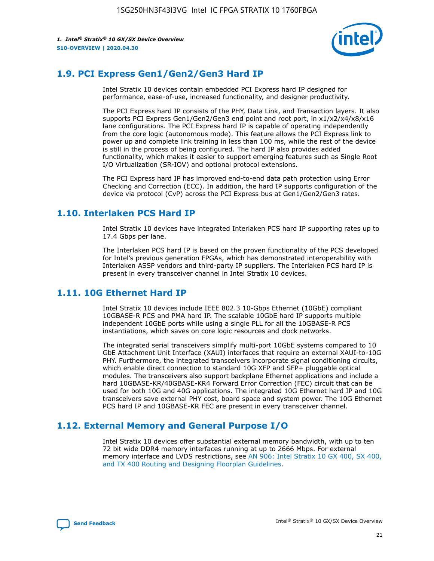

### **1.9. PCI Express Gen1/Gen2/Gen3 Hard IP**

Intel Stratix 10 devices contain embedded PCI Express hard IP designed for performance, ease-of-use, increased functionality, and designer productivity.

The PCI Express hard IP consists of the PHY, Data Link, and Transaction layers. It also supports PCI Express Gen1/Gen2/Gen3 end point and root port, in x1/x2/x4/x8/x16 lane configurations. The PCI Express hard IP is capable of operating independently from the core logic (autonomous mode). This feature allows the PCI Express link to power up and complete link training in less than 100 ms, while the rest of the device is still in the process of being configured. The hard IP also provides added functionality, which makes it easier to support emerging features such as Single Root I/O Virtualization (SR-IOV) and optional protocol extensions.

The PCI Express hard IP has improved end-to-end data path protection using Error Checking and Correction (ECC). In addition, the hard IP supports configuration of the device via protocol (CvP) across the PCI Express bus at Gen1/Gen2/Gen3 rates.

### **1.10. Interlaken PCS Hard IP**

Intel Stratix 10 devices have integrated Interlaken PCS hard IP supporting rates up to 17.4 Gbps per lane.

The Interlaken PCS hard IP is based on the proven functionality of the PCS developed for Intel's previous generation FPGAs, which has demonstrated interoperability with Interlaken ASSP vendors and third-party IP suppliers. The Interlaken PCS hard IP is present in every transceiver channel in Intel Stratix 10 devices.

### **1.11. 10G Ethernet Hard IP**

Intel Stratix 10 devices include IEEE 802.3 10-Gbps Ethernet (10GbE) compliant 10GBASE-R PCS and PMA hard IP. The scalable 10GbE hard IP supports multiple independent 10GbE ports while using a single PLL for all the 10GBASE-R PCS instantiations, which saves on core logic resources and clock networks.

The integrated serial transceivers simplify multi-port 10GbE systems compared to 10 GbE Attachment Unit Interface (XAUI) interfaces that require an external XAUI-to-10G PHY. Furthermore, the integrated transceivers incorporate signal conditioning circuits, which enable direct connection to standard 10G XFP and SFP+ pluggable optical modules. The transceivers also support backplane Ethernet applications and include a hard 10GBASE-KR/40GBASE-KR4 Forward Error Correction (FEC) circuit that can be used for both 10G and 40G applications. The integrated 10G Ethernet hard IP and 10G transceivers save external PHY cost, board space and system power. The 10G Ethernet PCS hard IP and 10GBASE-KR FEC are present in every transceiver channel.

### **1.12. External Memory and General Purpose I/O**

Intel Stratix 10 devices offer substantial external memory bandwidth, with up to ten 72 bit wide DDR4 memory interfaces running at up to 2666 Mbps. For external memory interface and LVDS restrictions, see [AN 906: Intel Stratix 10 GX 400, SX 400,](https://www.intel.com/content/www/us/en/programmable/documentation/sjf1574667190623.html#bft1574667627484) [and TX 400 Routing and Designing Floorplan Guidelines.](https://www.intel.com/content/www/us/en/programmable/documentation/sjf1574667190623.html#bft1574667627484)

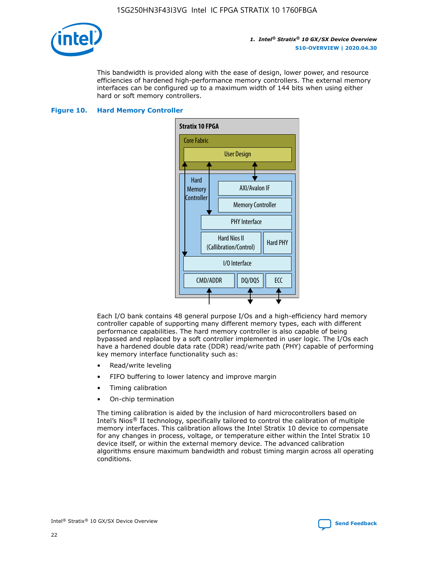

This bandwidth is provided along with the ease of design, lower power, and resource efficiencies of hardened high-performance memory controllers. The external memory interfaces can be configured up to a maximum width of 144 bits when using either hard or soft memory controllers.

#### **Figure 10. Hard Memory Controller**



Each I/O bank contains 48 general purpose I/Os and a high-efficiency hard memory controller capable of supporting many different memory types, each with different performance capabilities. The hard memory controller is also capable of being bypassed and replaced by a soft controller implemented in user logic. The I/Os each have a hardened double data rate (DDR) read/write path (PHY) capable of performing key memory interface functionality such as:

- Read/write leveling
- FIFO buffering to lower latency and improve margin
- Timing calibration
- On-chip termination

The timing calibration is aided by the inclusion of hard microcontrollers based on Intel's Nios® II technology, specifically tailored to control the calibration of multiple memory interfaces. This calibration allows the Intel Stratix 10 device to compensate for any changes in process, voltage, or temperature either within the Intel Stratix 10 device itself, or within the external memory device. The advanced calibration algorithms ensure maximum bandwidth and robust timing margin across all operating conditions.

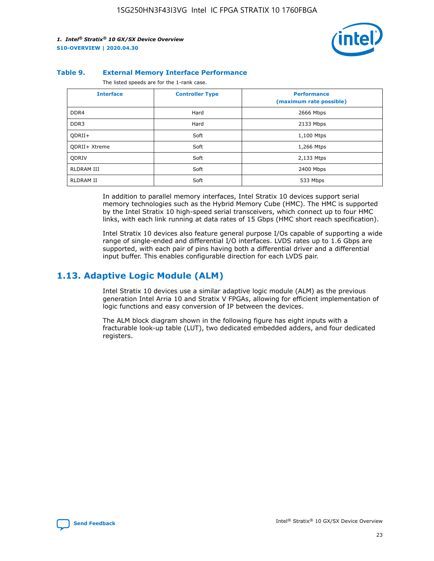

#### **Table 9. External Memory Interface Performance**

The listed speeds are for the 1-rank case.

| <b>Interface</b> | <b>Controller Type</b> | <b>Performance</b><br>(maximum rate possible) |
|------------------|------------------------|-----------------------------------------------|
| DDR4             | Hard                   | 2666 Mbps                                     |
| DDR <sub>3</sub> | Hard                   | 2133 Mbps                                     |
| QDRII+           | Soft                   | 1,100 Mtps                                    |
| QDRII+ Xtreme    | Soft                   | 1,266 Mtps                                    |
| <b>ODRIV</b>     | Soft                   | 2,133 Mtps                                    |
| RLDRAM III       | Soft                   | 2400 Mbps                                     |
| <b>RLDRAM II</b> | Soft                   | 533 Mbps                                      |

In addition to parallel memory interfaces, Intel Stratix 10 devices support serial memory technologies such as the Hybrid Memory Cube (HMC). The HMC is supported by the Intel Stratix 10 high-speed serial transceivers, which connect up to four HMC links, with each link running at data rates of 15 Gbps (HMC short reach specification).

Intel Stratix 10 devices also feature general purpose I/Os capable of supporting a wide range of single-ended and differential I/O interfaces. LVDS rates up to 1.6 Gbps are supported, with each pair of pins having both a differential driver and a differential input buffer. This enables configurable direction for each LVDS pair.

### **1.13. Adaptive Logic Module (ALM)**

Intel Stratix 10 devices use a similar adaptive logic module (ALM) as the previous generation Intel Arria 10 and Stratix V FPGAs, allowing for efficient implementation of logic functions and easy conversion of IP between the devices.

The ALM block diagram shown in the following figure has eight inputs with a fracturable look-up table (LUT), two dedicated embedded adders, and four dedicated registers.

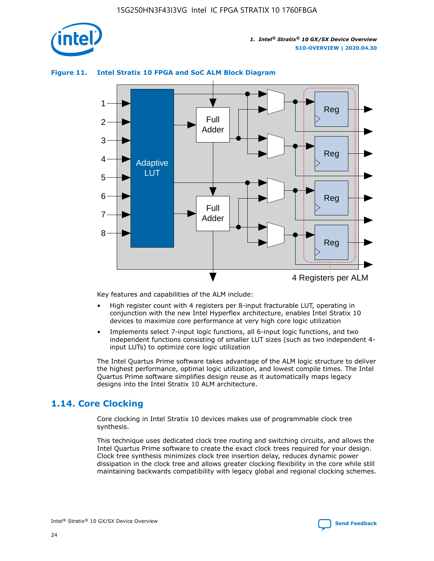

### **Figure 11. Intel Stratix 10 FPGA and SoC ALM Block Diagram**



Key features and capabilities of the ALM include:

- High register count with 4 registers per 8-input fracturable LUT, operating in conjunction with the new Intel Hyperflex architecture, enables Intel Stratix 10 devices to maximize core performance at very high core logic utilization
- Implements select 7-input logic functions, all 6-input logic functions, and two independent functions consisting of smaller LUT sizes (such as two independent 4 input LUTs) to optimize core logic utilization

The Intel Quartus Prime software takes advantage of the ALM logic structure to deliver the highest performance, optimal logic utilization, and lowest compile times. The Intel Quartus Prime software simplifies design reuse as it automatically maps legacy designs into the Intel Stratix 10 ALM architecture.

### **1.14. Core Clocking**

Core clocking in Intel Stratix 10 devices makes use of programmable clock tree synthesis.

This technique uses dedicated clock tree routing and switching circuits, and allows the Intel Quartus Prime software to create the exact clock trees required for your design. Clock tree synthesis minimizes clock tree insertion delay, reduces dynamic power dissipation in the clock tree and allows greater clocking flexibility in the core while still maintaining backwards compatibility with legacy global and regional clocking schemes.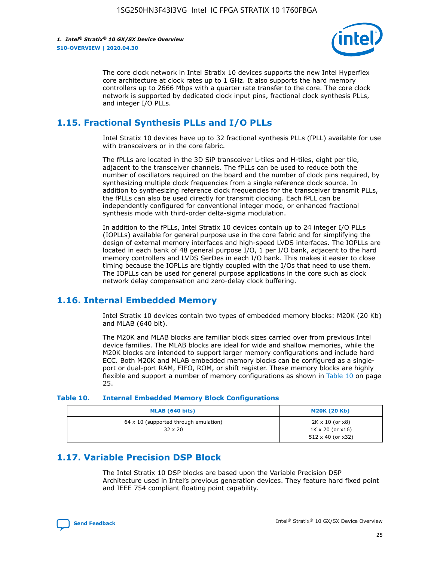

The core clock network in Intel Stratix 10 devices supports the new Intel Hyperflex core architecture at clock rates up to 1 GHz. It also supports the hard memory controllers up to 2666 Mbps with a quarter rate transfer to the core. The core clock network is supported by dedicated clock input pins, fractional clock synthesis PLLs, and integer I/O PLLs.

### **1.15. Fractional Synthesis PLLs and I/O PLLs**

Intel Stratix 10 devices have up to 32 fractional synthesis PLLs (fPLL) available for use with transceivers or in the core fabric.

The fPLLs are located in the 3D SiP transceiver L-tiles and H-tiles, eight per tile, adjacent to the transceiver channels. The fPLLs can be used to reduce both the number of oscillators required on the board and the number of clock pins required, by synthesizing multiple clock frequencies from a single reference clock source. In addition to synthesizing reference clock frequencies for the transceiver transmit PLLs, the fPLLs can also be used directly for transmit clocking. Each fPLL can be independently configured for conventional integer mode, or enhanced fractional synthesis mode with third-order delta-sigma modulation.

In addition to the fPLLs, Intel Stratix 10 devices contain up to 24 integer I/O PLLs (IOPLLs) available for general purpose use in the core fabric and for simplifying the design of external memory interfaces and high-speed LVDS interfaces. The IOPLLs are located in each bank of 48 general purpose I/O, 1 per I/O bank, adjacent to the hard memory controllers and LVDS SerDes in each I/O bank. This makes it easier to close timing because the IOPLLs are tightly coupled with the I/Os that need to use them. The IOPLLs can be used for general purpose applications in the core such as clock network delay compensation and zero-delay clock buffering.

### **1.16. Internal Embedded Memory**

Intel Stratix 10 devices contain two types of embedded memory blocks: M20K (20 Kb) and MLAB (640 bit).

The M20K and MLAB blocks are familiar block sizes carried over from previous Intel device families. The MLAB blocks are ideal for wide and shallow memories, while the M20K blocks are intended to support larger memory configurations and include hard ECC. Both M20K and MLAB embedded memory blocks can be configured as a singleport or dual-port RAM, FIFO, ROM, or shift register. These memory blocks are highly flexible and support a number of memory configurations as shown in Table 10 on page 25.

#### **Table 10. Internal Embedded Memory Block Configurations**

| MLAB (640 bits)                                                | <b>M20K (20 Kb)</b>                                                                    |
|----------------------------------------------------------------|----------------------------------------------------------------------------------------|
| $64 \times 10$ (supported through emulation)<br>$32 \times 20$ | $2K \times 10$ (or $x8$ )<br>$1K \times 20$ (or $x16$ )<br>$512 \times 40$ (or $x32$ ) |

### **1.17. Variable Precision DSP Block**

The Intel Stratix 10 DSP blocks are based upon the Variable Precision DSP Architecture used in Intel's previous generation devices. They feature hard fixed point and IEEE 754 compliant floating point capability.

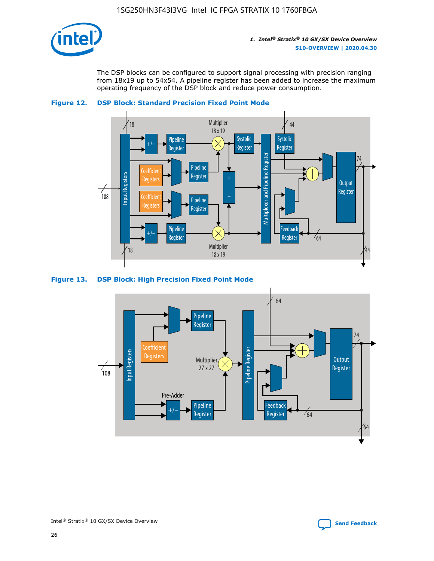

The DSP blocks can be configured to support signal processing with precision ranging from 18x19 up to 54x54. A pipeline register has been added to increase the maximum operating frequency of the DSP block and reduce power consumption.





#### **Figure 13. DSP Block: High Precision Fixed Point Mode**

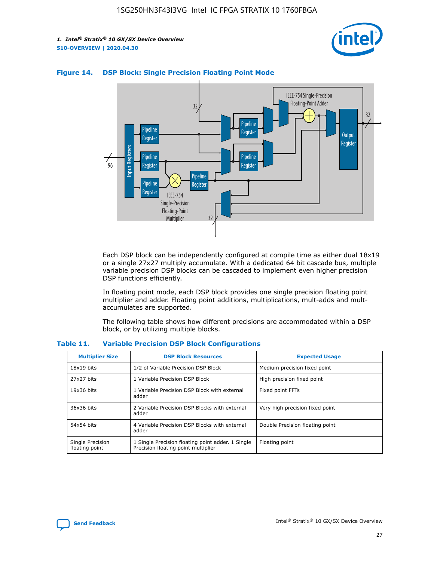



### **Figure 14. DSP Block: Single Precision Floating Point Mode**

Each DSP block can be independently configured at compile time as either dual 18x19 or a single 27x27 multiply accumulate. With a dedicated 64 bit cascade bus, multiple variable precision DSP blocks can be cascaded to implement even higher precision DSP functions efficiently.

In floating point mode, each DSP block provides one single precision floating point multiplier and adder. Floating point additions, multiplications, mult-adds and multaccumulates are supported.

The following table shows how different precisions are accommodated within a DSP block, or by utilizing multiple blocks.

| <b>Multiplier Size</b>             | <b>DSP Block Resources</b>                                                               | <b>Expected Usage</b>           |
|------------------------------------|------------------------------------------------------------------------------------------|---------------------------------|
| $18x19$ bits                       | 1/2 of Variable Precision DSP Block                                                      | Medium precision fixed point    |
| 27x27 bits                         | 1 Variable Precision DSP Block                                                           | High precision fixed point      |
| $19x36$ bits                       | 1 Variable Precision DSP Block with external<br>adder                                    | Fixed point FFTs                |
| 36x36 bits                         | 2 Variable Precision DSP Blocks with external<br>adder                                   | Very high precision fixed point |
| 54x54 bits                         | 4 Variable Precision DSP Blocks with external<br>adder                                   | Double Precision floating point |
| Single Precision<br>floating point | 1 Single Precision floating point adder, 1 Single<br>Precision floating point multiplier | Floating point                  |

#### **Table 11. Variable Precision DSP Block Configurations**

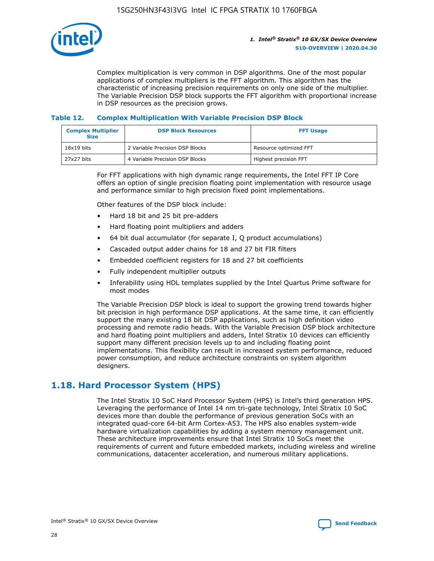

Complex multiplication is very common in DSP algorithms. One of the most popular applications of complex multipliers is the FFT algorithm. This algorithm has the characteristic of increasing precision requirements on only one side of the multiplier. The Variable Precision DSP block supports the FFT algorithm with proportional increase in DSP resources as the precision grows.

### **Table 12. Complex Multiplication With Variable Precision DSP Block**

| <b>Complex Multiplier</b><br><b>Size</b> | <b>DSP Block Resources</b>      | <b>FFT Usage</b>       |
|------------------------------------------|---------------------------------|------------------------|
| $18x19$ bits                             | 2 Variable Precision DSP Blocks | Resource optimized FFT |
| 27x27 bits                               | 4 Variable Precision DSP Blocks | Highest precision FFT  |

For FFT applications with high dynamic range requirements, the Intel FFT IP Core offers an option of single precision floating point implementation with resource usage and performance similar to high precision fixed point implementations.

Other features of the DSP block include:

- Hard 18 bit and 25 bit pre-adders
- Hard floating point multipliers and adders
- 64 bit dual accumulator (for separate I, Q product accumulations)
- Cascaded output adder chains for 18 and 27 bit FIR filters
- Embedded coefficient registers for 18 and 27 bit coefficients
- Fully independent multiplier outputs
- Inferability using HDL templates supplied by the Intel Quartus Prime software for most modes

The Variable Precision DSP block is ideal to support the growing trend towards higher bit precision in high performance DSP applications. At the same time, it can efficiently support the many existing 18 bit DSP applications, such as high definition video processing and remote radio heads. With the Variable Precision DSP block architecture and hard floating point multipliers and adders, Intel Stratix 10 devices can efficiently support many different precision levels up to and including floating point implementations. This flexibility can result in increased system performance, reduced power consumption, and reduce architecture constraints on system algorithm designers.

### **1.18. Hard Processor System (HPS)**

The Intel Stratix 10 SoC Hard Processor System (HPS) is Intel's third generation HPS. Leveraging the performance of Intel 14 nm tri-gate technology, Intel Stratix 10 SoC devices more than double the performance of previous generation SoCs with an integrated quad-core 64-bit Arm Cortex-A53. The HPS also enables system-wide hardware virtualization capabilities by adding a system memory management unit. These architecture improvements ensure that Intel Stratix 10 SoCs meet the requirements of current and future embedded markets, including wireless and wireline communications, datacenter acceleration, and numerous military applications.

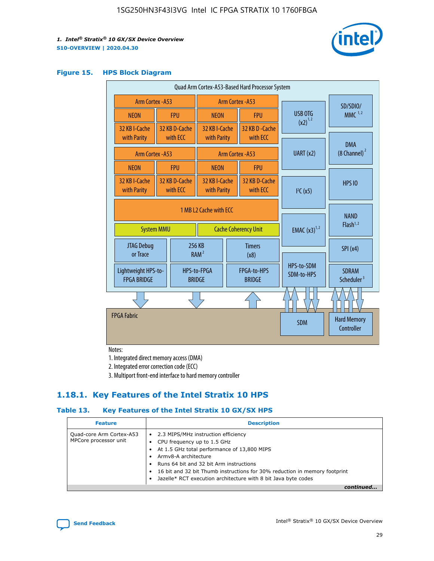

#### **Figure 15. HPS Block Diagram**

| Quad Arm Cortex-A53-Based Hard Processor System |                                                                            |                           |                                                     |                          |                                     |                                  |                                        |
|-------------------------------------------------|----------------------------------------------------------------------------|---------------------------|-----------------------------------------------------|--------------------------|-------------------------------------|----------------------------------|----------------------------------------|
|                                                 | Arm Cortex - A53<br>Arm Cortex - A53                                       |                           |                                                     |                          |                                     | SD/SDIO/                         |                                        |
| <b>NEON</b>                                     |                                                                            | <b>FPU</b>                | <b>NEON</b>                                         |                          | <b>FPU</b>                          | USB OTG                          | $MMC$ <sup>1,2</sup>                   |
| 32 KB I-Cache<br>with Parity                    |                                                                            | 32 KB D-Cache<br>with ECC | 32 KB I-Cache<br>with Parity                        |                          | 32 KB D - Cache<br>with ECC         | $(x2)^{1,2}$                     |                                        |
| Arm Cortex - A53                                |                                                                            |                           |                                                     | Arm Cortex - A53         | UART(x2)                            | <b>DMA</b><br>$(8$ Channel) $^2$ |                                        |
| <b>NEON</b>                                     |                                                                            | <b>FPU</b>                | <b>NEON</b>                                         |                          | <b>FPU</b>                          |                                  |                                        |
| 32 KB I-Cache<br>with Parity                    |                                                                            | 32 KB D-Cache<br>with ECC | 32 KB I-Cache<br>with Parity<br>with ECC            |                          | 32 KB D-Cache                       | I <sup>2</sup> C(x5)             | <b>HPS 10</b>                          |
|                                                 | 1 MB L2 Cache with ECC<br><b>System MMU</b><br><b>Cache Coherency Unit</b> |                           |                                                     | <b>EMAC</b> $(x3)^{1,2}$ | <b>NAND</b><br>Flash <sup>1,2</sup> |                                  |                                        |
| JTAG Debug<br>or Trace                          |                                                                            |                           | 256 KB<br><b>Timers</b><br>RAM <sup>2</sup><br>(x8) |                          |                                     | SPI(x4)                          |                                        |
| Lightweight HPS-to-<br><b>FPGA BRIDGE</b>       |                                                                            |                           | HPS-to-FPGA<br><b>BRIDGE</b>                        |                          | FPGA-to-HPS<br><b>BRIDGE</b>        | HPS-to-SDM<br>SDM-to-HPS         | <b>SDRAM</b><br>Scheduler <sup>3</sup> |
|                                                 |                                                                            |                           |                                                     |                          |                                     |                                  |                                        |
| <b>FPGA Fabric</b>                              |                                                                            |                           |                                                     |                          |                                     | <b>SDM</b>                       | <b>Hard Memory</b><br>Controller       |

Notes:

1. Integrated direct memory access (DMA)

2. Integrated error correction code (ECC)

3. Multiport front-end interface to hard memory controller

### **1.18.1. Key Features of the Intel Stratix 10 HPS**

### **Table 13. Key Features of the Intel Stratix 10 GX/SX HPS**

| <b>Feature</b>                                    | <b>Description</b>                                                                                                                                                                                                                                                                                                                     |
|---------------------------------------------------|----------------------------------------------------------------------------------------------------------------------------------------------------------------------------------------------------------------------------------------------------------------------------------------------------------------------------------------|
| Quad-core Arm Cortex-A53<br>MPCore processor unit | • 2.3 MIPS/MHz instruction efficiency<br>CPU frequency up to 1.5 GHz<br>At 1.5 GHz total performance of 13,800 MIPS<br>Army8-A architecture<br>Runs 64 bit and 32 bit Arm instructions<br>16 bit and 32 bit Thumb instructions for 30% reduction in memory footprint<br>Jazelle* RCT execution architecture with 8 bit Java byte codes |
|                                                   |                                                                                                                                                                                                                                                                                                                                        |

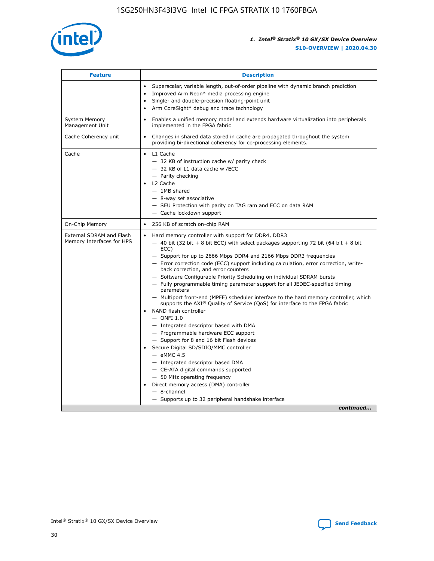

| <b>Feature</b>                                        | <b>Description</b>                                                                                                                                                                                                                                                                                                                                                                                                                                                                                                                                                                                                                                                                                                                                                                                                                                                                                                                                                                                                                                                                                                                                                                                                     |
|-------------------------------------------------------|------------------------------------------------------------------------------------------------------------------------------------------------------------------------------------------------------------------------------------------------------------------------------------------------------------------------------------------------------------------------------------------------------------------------------------------------------------------------------------------------------------------------------------------------------------------------------------------------------------------------------------------------------------------------------------------------------------------------------------------------------------------------------------------------------------------------------------------------------------------------------------------------------------------------------------------------------------------------------------------------------------------------------------------------------------------------------------------------------------------------------------------------------------------------------------------------------------------------|
|                                                       | Superscalar, variable length, out-of-order pipeline with dynamic branch prediction<br>Improved Arm Neon* media processing engine<br>$\bullet$<br>Single- and double-precision floating-point unit<br>Arm CoreSight* debug and trace technology<br>$\bullet$                                                                                                                                                                                                                                                                                                                                                                                                                                                                                                                                                                                                                                                                                                                                                                                                                                                                                                                                                            |
| <b>System Memory</b><br>Management Unit               | Enables a unified memory model and extends hardware virtualization into peripherals<br>$\bullet$<br>implemented in the FPGA fabric                                                                                                                                                                                                                                                                                                                                                                                                                                                                                                                                                                                                                                                                                                                                                                                                                                                                                                                                                                                                                                                                                     |
| Cache Coherency unit                                  | $\bullet$<br>Changes in shared data stored in cache are propagated throughout the system<br>providing bi-directional coherency for co-processing elements.                                                                                                                                                                                                                                                                                                                                                                                                                                                                                                                                                                                                                                                                                                                                                                                                                                                                                                                                                                                                                                                             |
| Cache                                                 | L1 Cache<br>$\bullet$<br>- 32 KB of instruction cache w/ parity check<br>- 32 KB of L1 data cache w /ECC<br>- Parity checking<br>L2 Cache<br>$-$ 1MB shared<br>- 8-way set associative<br>- SEU Protection with parity on TAG ram and ECC on data RAM<br>- Cache lockdown support                                                                                                                                                                                                                                                                                                                                                                                                                                                                                                                                                                                                                                                                                                                                                                                                                                                                                                                                      |
| On-Chip Memory                                        | 256 KB of scratch on-chip RAM<br>$\bullet$                                                                                                                                                                                                                                                                                                                                                                                                                                                                                                                                                                                                                                                                                                                                                                                                                                                                                                                                                                                                                                                                                                                                                                             |
| External SDRAM and Flash<br>Memory Interfaces for HPS | Hard memory controller with support for DDR4, DDR3<br>$\bullet$<br>$-$ 40 bit (32 bit + 8 bit ECC) with select packages supporting 72 bit (64 bit + 8 bit<br>ECC)<br>- Support for up to 2666 Mbps DDR4 and 2166 Mbps DDR3 frequencies<br>- Error correction code (ECC) support including calculation, error correction, write-<br>back correction, and error counters<br>- Software Configurable Priority Scheduling on individual SDRAM bursts<br>- Fully programmable timing parameter support for all JEDEC-specified timing<br>parameters<br>- Multiport front-end (MPFE) scheduler interface to the hard memory controller, which<br>supports the $AXI^{\circledR}$ Quality of Service (QoS) for interface to the FPGA fabric<br>NAND flash controller<br>$-$ ONFI 1.0<br>- Integrated descriptor based with DMA<br>- Programmable hardware ECC support<br>- Support for 8 and 16 bit Flash devices<br>Secure Digital SD/SDIO/MMC controller<br>$-$ eMMC 4.5<br>- Integrated descriptor based DMA<br>- CE-ATA digital commands supported<br>- 50 MHz operating frequency<br>Direct memory access (DMA) controller<br>$\bullet$<br>- 8-channel<br>- Supports up to 32 peripheral handshake interface<br>continued |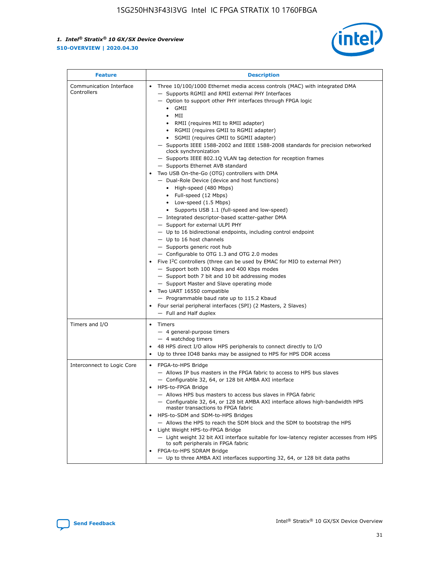

| <b>Feature</b>                         | <b>Description</b>                                                                                                                                                                                                                                                                                                                                                                                                                                                                                                                                                                                                                                                                                                                                                                                                                                                                                                                                                                                                                                                                                                                                                                                                                                                                                                                                                                                                                                                                                          |  |  |  |
|----------------------------------------|-------------------------------------------------------------------------------------------------------------------------------------------------------------------------------------------------------------------------------------------------------------------------------------------------------------------------------------------------------------------------------------------------------------------------------------------------------------------------------------------------------------------------------------------------------------------------------------------------------------------------------------------------------------------------------------------------------------------------------------------------------------------------------------------------------------------------------------------------------------------------------------------------------------------------------------------------------------------------------------------------------------------------------------------------------------------------------------------------------------------------------------------------------------------------------------------------------------------------------------------------------------------------------------------------------------------------------------------------------------------------------------------------------------------------------------------------------------------------------------------------------------|--|--|--|
| Communication Interface<br>Controllers | Three 10/100/1000 Ethernet media access controls (MAC) with integrated DMA<br>- Supports RGMII and RMII external PHY Interfaces<br>- Option to support other PHY interfaces through FPGA logic<br>$\bullet$ GMII<br>MII<br>$\bullet$<br>RMII (requires MII to RMII adapter)<br>• RGMII (requires GMII to RGMII adapter)<br>• SGMII (requires GMII to SGMII adapter)<br>- Supports IEEE 1588-2002 and IEEE 1588-2008 standards for precision networked<br>clock synchronization<br>- Supports IEEE 802.1Q VLAN tag detection for reception frames<br>- Supports Ethernet AVB standard<br>Two USB On-the-Go (OTG) controllers with DMA<br>- Dual-Role Device (device and host functions)<br>• High-speed (480 Mbps)<br>• Full-speed (12 Mbps)<br>• Low-speed (1.5 Mbps)<br>• Supports USB 1.1 (full-speed and low-speed)<br>- Integrated descriptor-based scatter-gather DMA<br>- Support for external ULPI PHY<br>- Up to 16 bidirectional endpoints, including control endpoint<br>$-$ Up to 16 host channels<br>- Supports generic root hub<br>- Configurable to OTG 1.3 and OTG 2.0 modes<br>Five I <sup>2</sup> C controllers (three can be used by EMAC for MIO to external PHY)<br>- Support both 100 Kbps and 400 Kbps modes<br>- Support both 7 bit and 10 bit addressing modes<br>- Support Master and Slave operating mode<br>Two UART 16550 compatible<br>- Programmable baud rate up to 115.2 Kbaud<br>• Four serial peripheral interfaces (SPI) (2 Masters, 2 Slaves)<br>- Full and Half duplex |  |  |  |
| Timers and I/O                         | • Timers<br>- 4 general-purpose timers<br>$-4$ watchdog timers<br>48 HPS direct I/O allow HPS peripherals to connect directly to I/O<br>Up to three IO48 banks may be assigned to HPS for HPS DDR access                                                                                                                                                                                                                                                                                                                                                                                                                                                                                                                                                                                                                                                                                                                                                                                                                                                                                                                                                                                                                                                                                                                                                                                                                                                                                                    |  |  |  |
| Interconnect to Logic Core             | • FPGA-to-HPS Bridge<br>- Allows IP bus masters in the FPGA fabric to access to HPS bus slaves<br>- Configurable 32, 64, or 128 bit AMBA AXI interface<br>HPS-to-FPGA Bridge<br>- Allows HPS bus masters to access bus slaves in FPGA fabric<br>- Configurable 32, 64, or 128 bit AMBA AXI interface allows high-bandwidth HPS<br>master transactions to FPGA fabric<br>HPS-to-SDM and SDM-to-HPS Bridges<br>- Allows the HPS to reach the SDM block and the SDM to bootstrap the HPS<br>Light Weight HPS-to-FPGA Bridge<br>- Light weight 32 bit AXI interface suitable for low-latency register accesses from HPS<br>to soft peripherals in FPGA fabric<br>FPGA-to-HPS SDRAM Bridge<br>- Up to three AMBA AXI interfaces supporting 32, 64, or 128 bit data paths                                                                                                                                                                                                                                                                                                                                                                                                                                                                                                                                                                                                                                                                                                                                         |  |  |  |

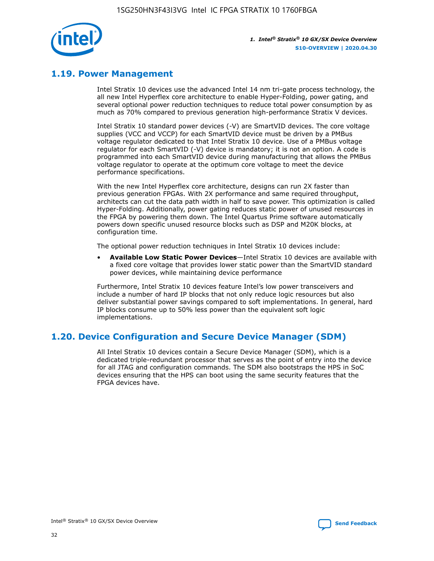

### **1.19. Power Management**

Intel Stratix 10 devices use the advanced Intel 14 nm tri-gate process technology, the all new Intel Hyperflex core architecture to enable Hyper-Folding, power gating, and several optional power reduction techniques to reduce total power consumption by as much as 70% compared to previous generation high-performance Stratix V devices.

Intel Stratix 10 standard power devices (-V) are SmartVID devices. The core voltage supplies (VCC and VCCP) for each SmartVID device must be driven by a PMBus voltage regulator dedicated to that Intel Stratix 10 device. Use of a PMBus voltage regulator for each SmartVID (-V) device is mandatory; it is not an option. A code is programmed into each SmartVID device during manufacturing that allows the PMBus voltage regulator to operate at the optimum core voltage to meet the device performance specifications.

With the new Intel Hyperflex core architecture, designs can run 2X faster than previous generation FPGAs. With 2X performance and same required throughput, architects can cut the data path width in half to save power. This optimization is called Hyper-Folding. Additionally, power gating reduces static power of unused resources in the FPGA by powering them down. The Intel Quartus Prime software automatically powers down specific unused resource blocks such as DSP and M20K blocks, at configuration time.

The optional power reduction techniques in Intel Stratix 10 devices include:

• **Available Low Static Power Devices**—Intel Stratix 10 devices are available with a fixed core voltage that provides lower static power than the SmartVID standard power devices, while maintaining device performance

Furthermore, Intel Stratix 10 devices feature Intel's low power transceivers and include a number of hard IP blocks that not only reduce logic resources but also deliver substantial power savings compared to soft implementations. In general, hard IP blocks consume up to 50% less power than the equivalent soft logic implementations.

### **1.20. Device Configuration and Secure Device Manager (SDM)**

All Intel Stratix 10 devices contain a Secure Device Manager (SDM), which is a dedicated triple-redundant processor that serves as the point of entry into the device for all JTAG and configuration commands. The SDM also bootstraps the HPS in SoC devices ensuring that the HPS can boot using the same security features that the FPGA devices have.

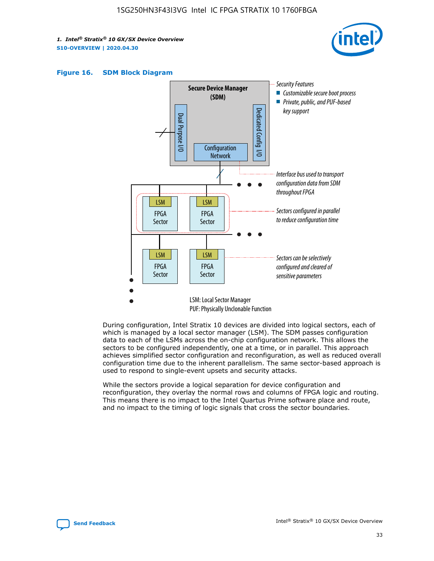





During configuration, Intel Stratix 10 devices are divided into logical sectors, each of which is managed by a local sector manager (LSM). The SDM passes configuration data to each of the LSMs across the on-chip configuration network. This allows the sectors to be configured independently, one at a time, or in parallel. This approach achieves simplified sector configuration and reconfiguration, as well as reduced overall configuration time due to the inherent parallelism. The same sector-based approach is used to respond to single-event upsets and security attacks.

While the sectors provide a logical separation for device configuration and reconfiguration, they overlay the normal rows and columns of FPGA logic and routing. This means there is no impact to the Intel Quartus Prime software place and route, and no impact to the timing of logic signals that cross the sector boundaries.

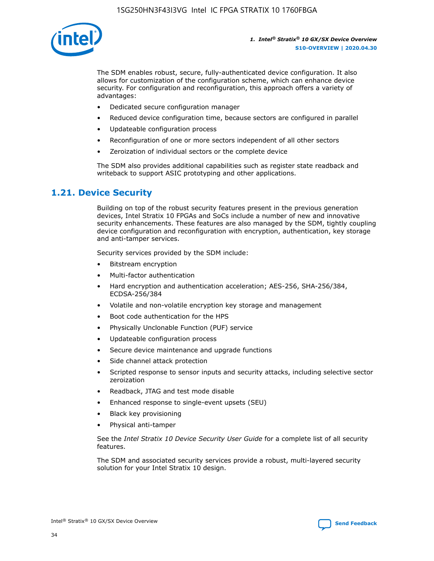

The SDM enables robust, secure, fully-authenticated device configuration. It also allows for customization of the configuration scheme, which can enhance device security. For configuration and reconfiguration, this approach offers a variety of advantages:

- Dedicated secure configuration manager
- Reduced device configuration time, because sectors are configured in parallel
- Updateable configuration process
- Reconfiguration of one or more sectors independent of all other sectors
- Zeroization of individual sectors or the complete device

The SDM also provides additional capabilities such as register state readback and writeback to support ASIC prototyping and other applications.

### **1.21. Device Security**

Building on top of the robust security features present in the previous generation devices, Intel Stratix 10 FPGAs and SoCs include a number of new and innovative security enhancements. These features are also managed by the SDM, tightly coupling device configuration and reconfiguration with encryption, authentication, key storage and anti-tamper services.

Security services provided by the SDM include:

- Bitstream encryption
- Multi-factor authentication
- Hard encryption and authentication acceleration; AES-256, SHA-256/384, ECDSA-256/384
- Volatile and non-volatile encryption key storage and management
- Boot code authentication for the HPS
- Physically Unclonable Function (PUF) service
- Updateable configuration process
- Secure device maintenance and upgrade functions
- Side channel attack protection
- Scripted response to sensor inputs and security attacks, including selective sector zeroization
- Readback, JTAG and test mode disable
- Enhanced response to single-event upsets (SEU)
- Black key provisioning
- Physical anti-tamper

See the *Intel Stratix 10 Device Security User Guide* for a complete list of all security features.

The SDM and associated security services provide a robust, multi-layered security solution for your Intel Stratix 10 design.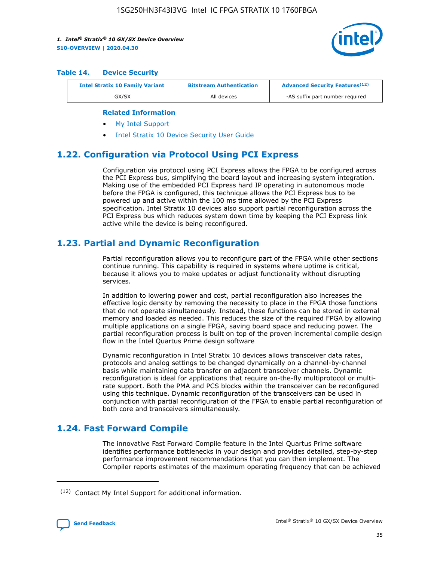

#### **Table 14. Device Security**

| <b>Intel Stratix 10 Family Variant</b> | <b>Bitstream Authentication</b> | <b>Advanced Security Features</b> <sup>(12)</sup> |
|----------------------------------------|---------------------------------|---------------------------------------------------|
| GX/SX                                  | All devices                     | -AS suffix part number required                   |

#### **Related Information**

- [My Intel Support](https://www.intel.com/content/www/us/en/programmable/my-intel/mal-home.html)
- [Intel Stratix 10 Device Security User Guide](https://www.intel.com/content/www/us/en/programmable/documentation/ndq1483601370898.html#wcd1483611014402)

### **1.22. Configuration via Protocol Using PCI Express**

Configuration via protocol using PCI Express allows the FPGA to be configured across the PCI Express bus, simplifying the board layout and increasing system integration. Making use of the embedded PCI Express hard IP operating in autonomous mode before the FPGA is configured, this technique allows the PCI Express bus to be powered up and active within the 100 ms time allowed by the PCI Express specification. Intel Stratix 10 devices also support partial reconfiguration across the PCI Express bus which reduces system down time by keeping the PCI Express link active while the device is being reconfigured.

### **1.23. Partial and Dynamic Reconfiguration**

Partial reconfiguration allows you to reconfigure part of the FPGA while other sections continue running. This capability is required in systems where uptime is critical, because it allows you to make updates or adjust functionality without disrupting services.

In addition to lowering power and cost, partial reconfiguration also increases the effective logic density by removing the necessity to place in the FPGA those functions that do not operate simultaneously. Instead, these functions can be stored in external memory and loaded as needed. This reduces the size of the required FPGA by allowing multiple applications on a single FPGA, saving board space and reducing power. The partial reconfiguration process is built on top of the proven incremental compile design flow in the Intel Quartus Prime design software

Dynamic reconfiguration in Intel Stratix 10 devices allows transceiver data rates, protocols and analog settings to be changed dynamically on a channel-by-channel basis while maintaining data transfer on adjacent transceiver channels. Dynamic reconfiguration is ideal for applications that require on-the-fly multiprotocol or multirate support. Both the PMA and PCS blocks within the transceiver can be reconfigured using this technique. Dynamic reconfiguration of the transceivers can be used in conjunction with partial reconfiguration of the FPGA to enable partial reconfiguration of both core and transceivers simultaneously.

### **1.24. Fast Forward Compile**

The innovative Fast Forward Compile feature in the Intel Quartus Prime software identifies performance bottlenecks in your design and provides detailed, step-by-step performance improvement recommendations that you can then implement. The Compiler reports estimates of the maximum operating frequency that can be achieved

<sup>(12)</sup> Contact My Intel Support for additional information.

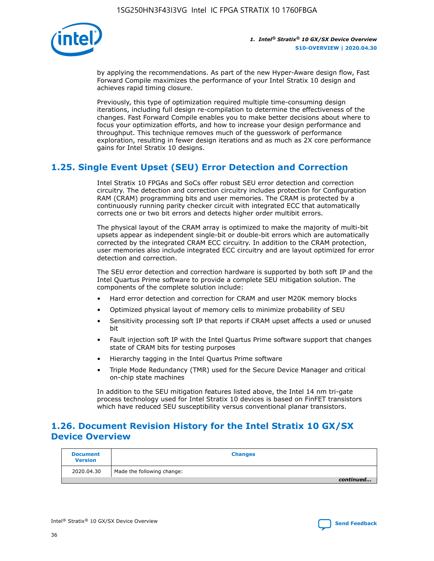

by applying the recommendations. As part of the new Hyper-Aware design flow, Fast Forward Compile maximizes the performance of your Intel Stratix 10 design and achieves rapid timing closure.

Previously, this type of optimization required multiple time-consuming design iterations, including full design re-compilation to determine the effectiveness of the changes. Fast Forward Compile enables you to make better decisions about where to focus your optimization efforts, and how to increase your design performance and throughput. This technique removes much of the guesswork of performance exploration, resulting in fewer design iterations and as much as 2X core performance gains for Intel Stratix 10 designs.

### **1.25. Single Event Upset (SEU) Error Detection and Correction**

Intel Stratix 10 FPGAs and SoCs offer robust SEU error detection and correction circuitry. The detection and correction circuitry includes protection for Configuration RAM (CRAM) programming bits and user memories. The CRAM is protected by a continuously running parity checker circuit with integrated ECC that automatically corrects one or two bit errors and detects higher order multibit errors.

The physical layout of the CRAM array is optimized to make the majority of multi-bit upsets appear as independent single-bit or double-bit errors which are automatically corrected by the integrated CRAM ECC circuitry. In addition to the CRAM protection, user memories also include integrated ECC circuitry and are layout optimized for error detection and correction.

The SEU error detection and correction hardware is supported by both soft IP and the Intel Quartus Prime software to provide a complete SEU mitigation solution. The components of the complete solution include:

- Hard error detection and correction for CRAM and user M20K memory blocks
- Optimized physical layout of memory cells to minimize probability of SEU
- Sensitivity processing soft IP that reports if CRAM upset affects a used or unused bit
- Fault injection soft IP with the Intel Quartus Prime software support that changes state of CRAM bits for testing purposes
- Hierarchy tagging in the Intel Quartus Prime software
- Triple Mode Redundancy (TMR) used for the Secure Device Manager and critical on-chip state machines

In addition to the SEU mitigation features listed above, the Intel 14 nm tri-gate process technology used for Intel Stratix 10 devices is based on FinFET transistors which have reduced SEU susceptibility versus conventional planar transistors.

### **1.26. Document Revision History for the Intel Stratix 10 GX/SX Device Overview**

| <b>Document</b><br><b>Version</b> | <b>Changes</b>             |
|-----------------------------------|----------------------------|
| 2020.04.30                        | Made the following change: |
|                                   | continued                  |

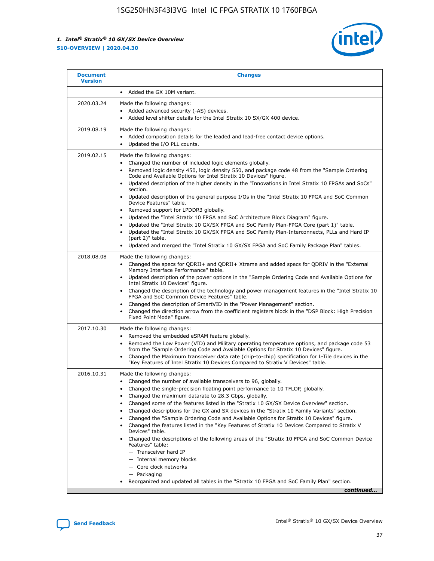

| <b>Document</b><br><b>Version</b> | <b>Changes</b>                                                                                                                                                                                                                                                                                                                                                                                                                                                                                                                                                                                                                                                                                                                                                                                                                                                                                                                                                                                       |
|-----------------------------------|------------------------------------------------------------------------------------------------------------------------------------------------------------------------------------------------------------------------------------------------------------------------------------------------------------------------------------------------------------------------------------------------------------------------------------------------------------------------------------------------------------------------------------------------------------------------------------------------------------------------------------------------------------------------------------------------------------------------------------------------------------------------------------------------------------------------------------------------------------------------------------------------------------------------------------------------------------------------------------------------------|
|                                   | Added the GX 10M variant.<br>$\bullet$                                                                                                                                                                                                                                                                                                                                                                                                                                                                                                                                                                                                                                                                                                                                                                                                                                                                                                                                                               |
| 2020.03.24                        | Made the following changes:<br>Added advanced security (-AS) devices.<br>$\bullet$<br>Added level shifter details for the Intel Stratix 10 SX/GX 400 device.<br>$\bullet$                                                                                                                                                                                                                                                                                                                                                                                                                                                                                                                                                                                                                                                                                                                                                                                                                            |
| 2019.08.19                        | Made the following changes:<br>Added composition details for the leaded and lead-free contact device options.<br>Updated the I/O PLL counts.<br>$\bullet$                                                                                                                                                                                                                                                                                                                                                                                                                                                                                                                                                                                                                                                                                                                                                                                                                                            |
| 2019.02.15                        | Made the following changes:<br>Changed the number of included logic elements globally.<br>Removed logic density 450, logic density 550, and package code 48 from the "Sample Ordering<br>$\bullet$<br>Code and Available Options for Intel Stratix 10 Devices" figure.<br>Updated description of the higher density in the "Innovations in Intel Stratix 10 FPGAs and SoCs"<br>section.<br>Updated description of the general purpose I/Os in the "Intel Stratix 10 FPGA and SoC Common<br>Device Features" table.<br>Removed support for LPDDR3 globally.<br>Updated the "Intel Stratix 10 FPGA and SoC Architecture Block Diagram" figure.<br>Updated the "Intel Stratix 10 GX/SX FPGA and SoC Family Plan-FPGA Core (part 1)" table.<br>Updated the "Intel Stratix 10 GX/SX FPGA and SoC Family Plan-Interconnects, PLLs and Hard IP<br>$\bullet$<br>(part 2)" table.<br>Updated and merged the "Intel Stratix 10 GX/SX FPGA and SoC Family Package Plan" tables.                                 |
| 2018.08.08                        | Made the following changes:<br>Changed the specs for QDRII+ and QDRII+ Xtreme and added specs for QDRIV in the "External<br>Memory Interface Performance" table.<br>Updated description of the power options in the "Sample Ordering Code and Available Options for<br>Intel Stratix 10 Devices" figure.<br>Changed the description of the technology and power management features in the "Intel Stratix 10<br>FPGA and SoC Common Device Features" table.<br>Changed the description of SmartVID in the "Power Management" section.<br>Changed the direction arrow from the coefficient registers block in the "DSP Block: High Precision<br>Fixed Point Mode" figure.                                                                                                                                                                                                                                                                                                                             |
| 2017.10.30                        | Made the following changes:<br>Removed the embedded eSRAM feature globally.<br>$\bullet$<br>Removed the Low Power (VID) and Military operating temperature options, and package code 53<br>$\bullet$<br>from the "Sample Ordering Code and Available Options for Stratix 10 Devices" figure.<br>Changed the Maximum transceiver data rate (chip-to-chip) specification for L-Tile devices in the<br>"Key Features of Intel Stratix 10 Devices Compared to Stratix V Devices" table.                                                                                                                                                                                                                                                                                                                                                                                                                                                                                                                  |
| 2016.10.31                        | Made the following changes:<br>• Changed the number of available transceivers to 96, globally.<br>Changed the single-precision floating point performance to 10 TFLOP, globally.<br>Changed the maximum datarate to 28.3 Gbps, globally.<br>Changed some of the features listed in the "Stratix 10 GX/SX Device Overview" section.<br>Changed descriptions for the GX and SX devices in the "Stratix 10 Family Variants" section.<br>$\bullet$<br>Changed the "Sample Ordering Code and Available Options for Stratix 10 Devices" figure.<br>$\bullet$<br>Changed the features listed in the "Key Features of Stratix 10 Devices Compared to Stratix V<br>Devices" table.<br>Changed the descriptions of the following areas of the "Stratix 10 FPGA and SoC Common Device<br>Features" table:<br>- Transceiver hard IP<br>- Internal memory blocks<br>- Core clock networks<br>- Packaging<br>Reorganized and updated all tables in the "Stratix 10 FPGA and SoC Family Plan" section.<br>continued |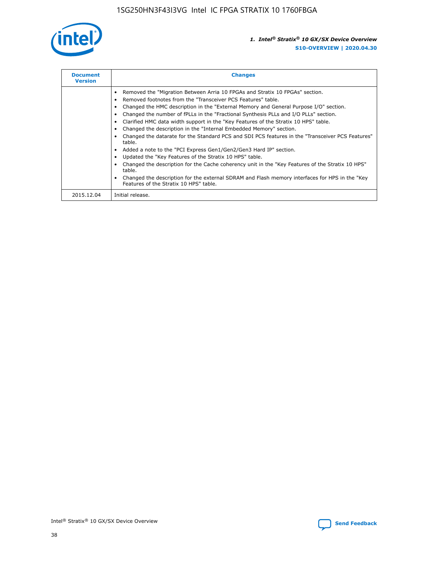

| <b>Document</b><br><b>Version</b> | <b>Changes</b>                                                                                                                                                                                                                                                                                                                                                                                                                                                                                                                                                                                                                                                                                                                                                                                                                                                                                                                                                                                     |
|-----------------------------------|----------------------------------------------------------------------------------------------------------------------------------------------------------------------------------------------------------------------------------------------------------------------------------------------------------------------------------------------------------------------------------------------------------------------------------------------------------------------------------------------------------------------------------------------------------------------------------------------------------------------------------------------------------------------------------------------------------------------------------------------------------------------------------------------------------------------------------------------------------------------------------------------------------------------------------------------------------------------------------------------------|
|                                   | Removed the "Migration Between Arria 10 FPGAs and Stratix 10 FPGAs" section.<br>Removed footnotes from the "Transceiver PCS Features" table.<br>Changed the HMC description in the "External Memory and General Purpose I/O" section.<br>Changed the number of fPLLs in the "Fractional Synthesis PLLs and I/O PLLs" section.<br>Clarified HMC data width support in the "Key Features of the Stratix 10 HPS" table.<br>Changed the description in the "Internal Embedded Memory" section.<br>Changed the datarate for the Standard PCS and SDI PCS features in the "Transceiver PCS Features"<br>table.<br>Added a note to the "PCI Express Gen1/Gen2/Gen3 Hard IP" section.<br>Updated the "Key Features of the Stratix 10 HPS" table.<br>Changed the description for the Cache coherency unit in the "Key Features of the Stratix 10 HPS"<br>table.<br>Changed the description for the external SDRAM and Flash memory interfaces for HPS in the "Key<br>Features of the Stratix 10 HPS" table. |
| 2015.12.04                        | Initial release.                                                                                                                                                                                                                                                                                                                                                                                                                                                                                                                                                                                                                                                                                                                                                                                                                                                                                                                                                                                   |